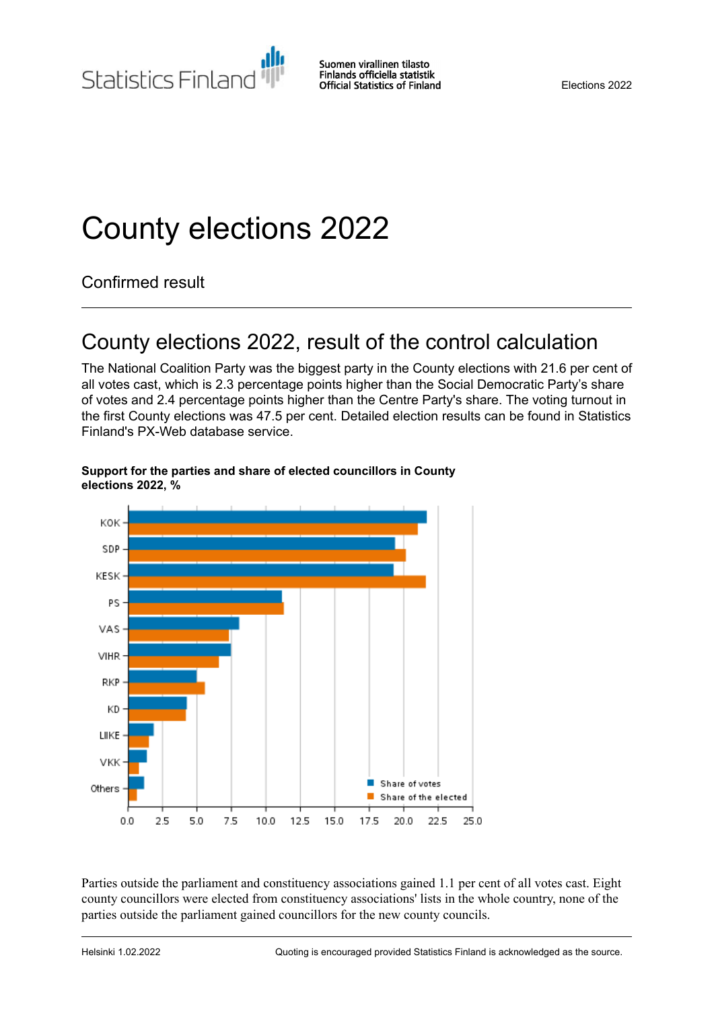Statistics Finland

# County elections 2022

Confirmed result

## County elections 2022, result of the control calculation

The National Coalition Party was the biggest party in the County elections with 21.6 per cent of all votes cast, which is 2.3 percentage points higher than the Social Democratic Party's share of votes and 2.4 percentage points higher than the Centre Party's share. The voting turnout in the first County elections was 47.5 per cent. Detailed election results can be found in Statistics Finland's PX-Web database service.



#### **Support for the parties and share of elected councillors in County elections 2022, %**

Parties outside the parliament and constituency associations gained 1.1 per cent of all votes cast. Eight county councillors were elected from constituency associations' lists in the whole country, none of the parties outside the parliament gained councillors for the new county councils.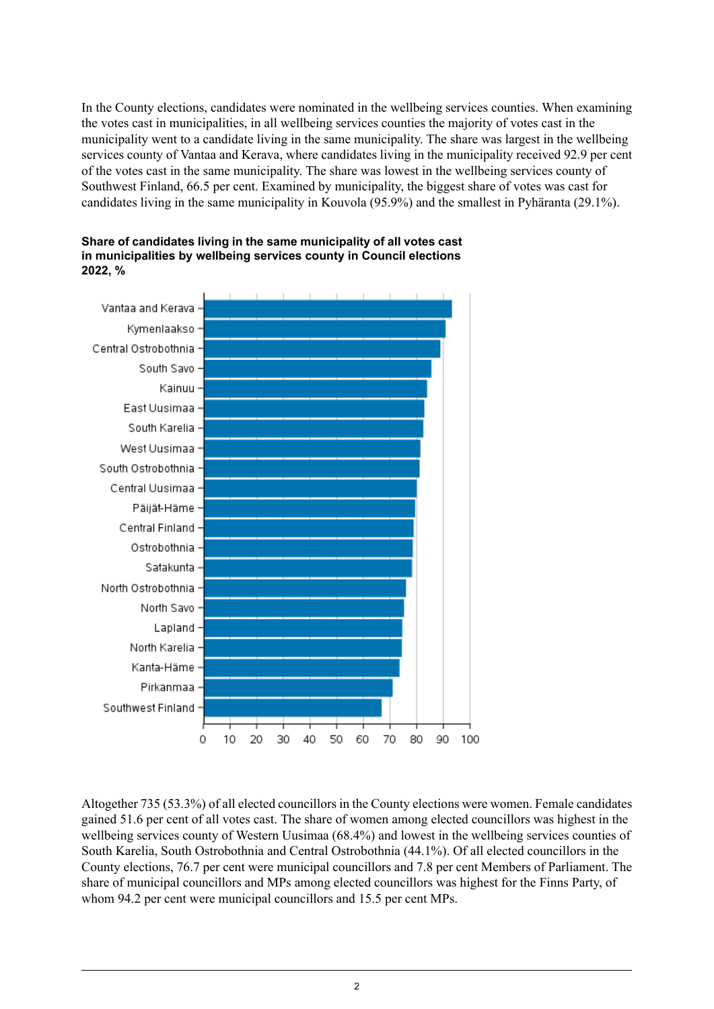In the County elections, candidates were nominated in the wellbeing services counties. When examining the votes cast in municipalities, in all wellbeing services counties the majority of votes cast in the municipality went to a candidate living in the same municipality. The share was largest in the wellbeing services county of Vantaa and Kerava, where candidates living in the municipality received 92.9 per cent of the votes cast in the same municipality. The share was lowest in the wellbeing services county of Southwest Finland, 66.5 per cent. Examined by municipality, the biggest share of votes was cast for candidates living in the same municipality in Kouvola (95.9%) and the smallest in Pyhäranta (29.1%).





Altogether 735 (53.3%) of all elected councillors in the County elections were women. Female candidates gained 51.6 per cent of all votes cast. The share of women among elected councillors was highest in the wellbeing services county of Western Uusimaa (68.4%) and lowest in the wellbeing services counties of South Karelia, South Ostrobothnia and Central Ostrobothnia (44.1%). Of all elected councillors in the County elections, 76.7 per cent were municipal councillors and 7.8 per cent Members of Parliament. The share of municipal councillors and MPs among elected councillors was highest for the Finns Party, of whom 94.2 per cent were municipal councillors and 15.5 per cent MPs.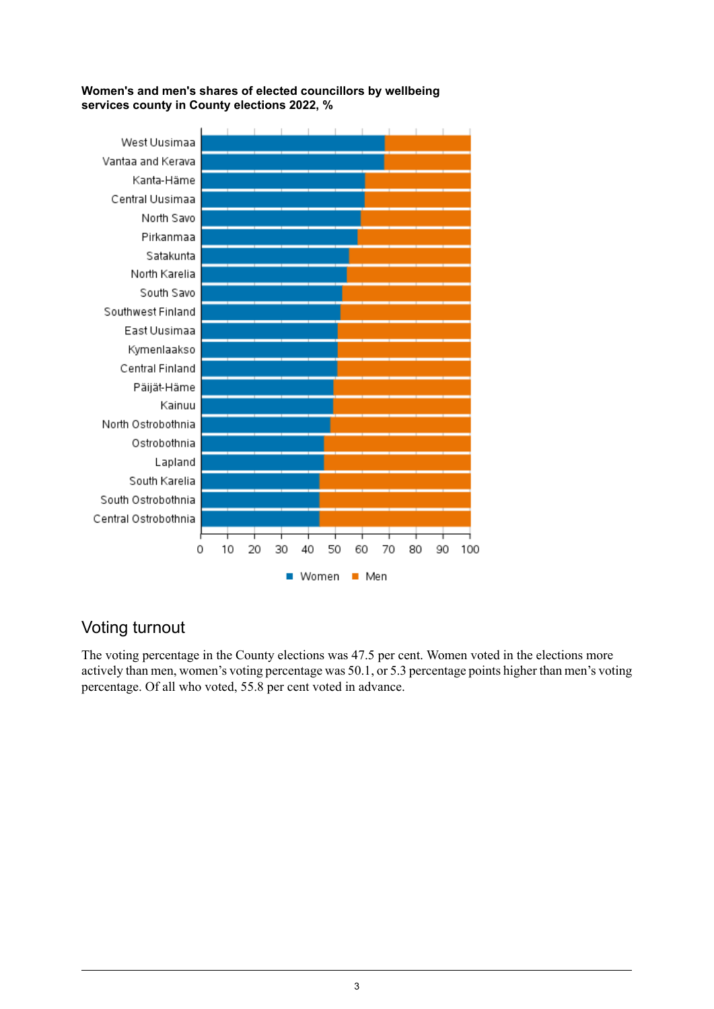#### **Women's and men's shares of elected councillors by wellbeing services county in County elections 2022, %**



## Voting turnout

The voting percentage in the County elections was 47.5 per cent. Women voted in the elections more actively than men, women's voting percentage was 50.1, or 5.3 percentage points higher than men's voting percentage. Of all who voted, 55.8 per cent voted in advance.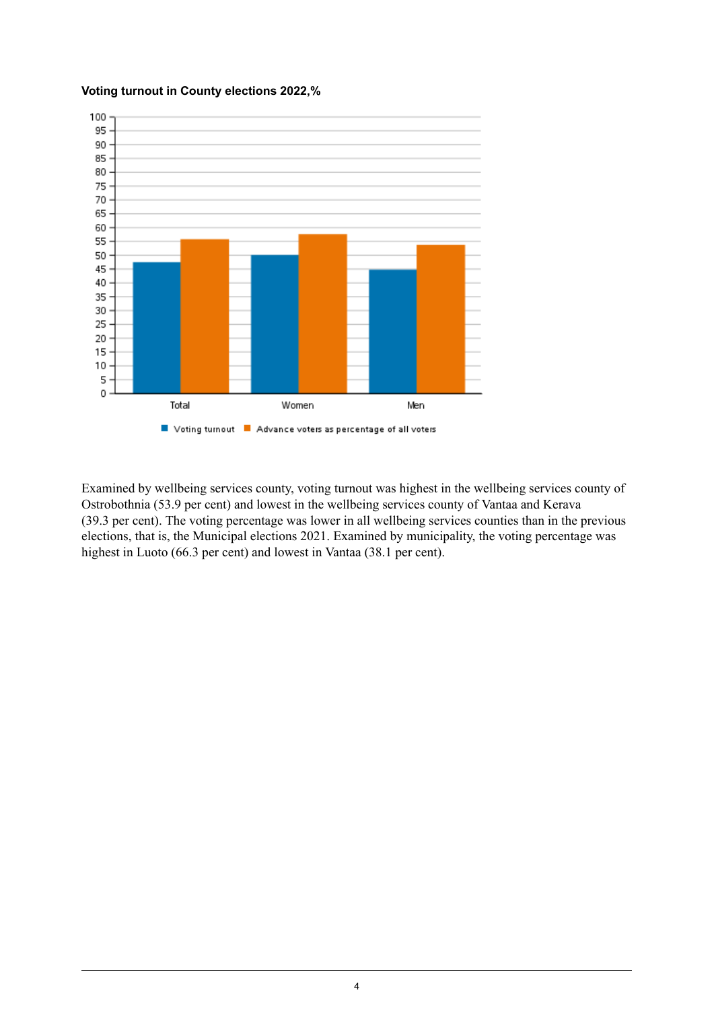

#### **Voting turnout in County elections 2022,%**

Examined by wellbeing services county, voting turnout was highest in the wellbeing services county of Ostrobothnia (53.9 per cent) and lowest in the wellbeing services county of Vantaa and Kerava (39.3 per cent). The voting percentage was lower in all wellbeing services counties than in the previous elections, that is, the Municipal elections 2021. Examined by municipality, the voting percentage was highest in Luoto (66.3 per cent) and lowest in Vantaa (38.1 per cent).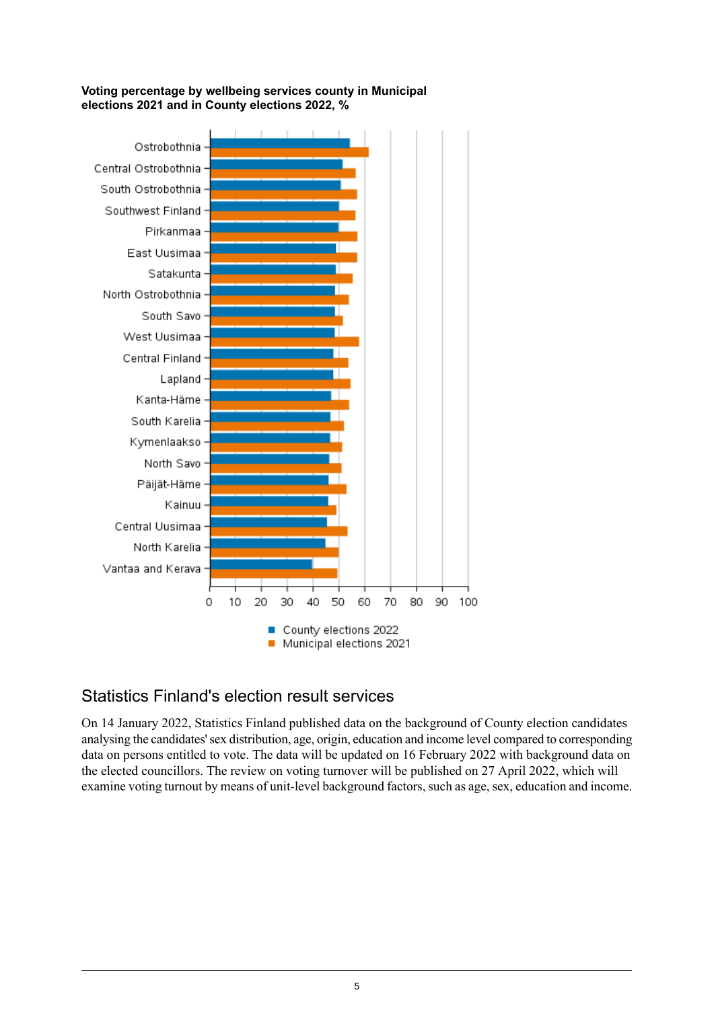

#### **Voting percentage by wellbeing services county in Municipal elections 2021 and in County elections 2022, %**

## Statistics Finland's election result services

On 14 January 2022, Statistics Finland published data on the background of County election candidates analysing the candidates'sex distribution, age, origin, education and income level compared to corresponding data on persons entitled to vote. The data will be updated on 16 February 2022 with background data on the elected councillors. The review on voting turnover will be published on 27 April 2022, which will examine voting turnout by means of unit-level background factors, such as age, sex, education and income.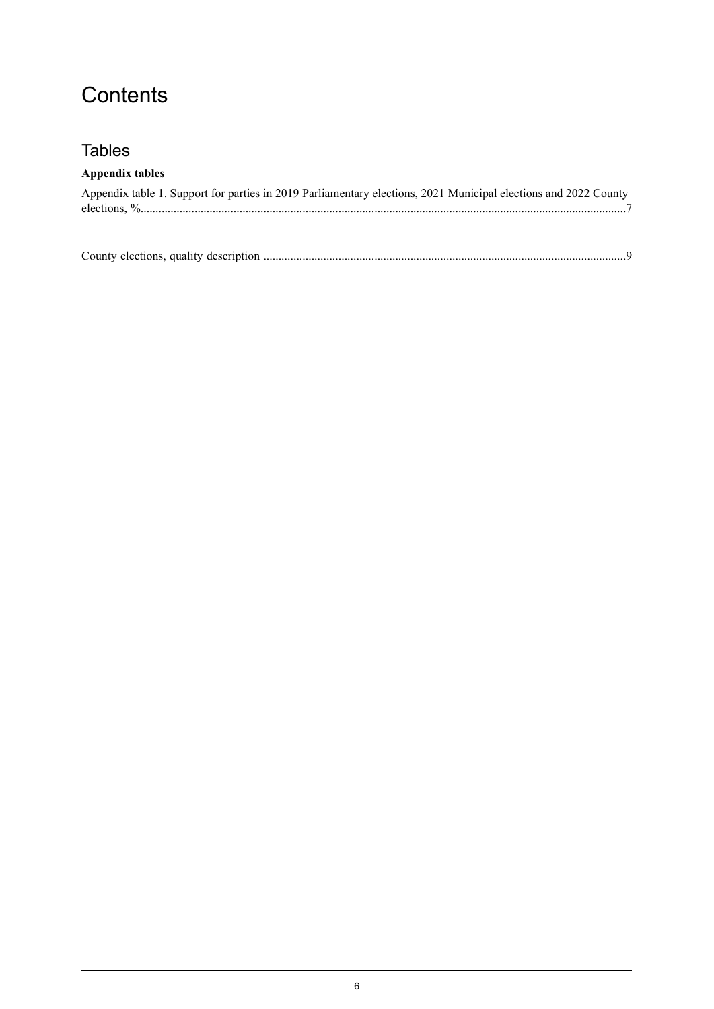## **Contents**

## **Tables**

### **Appendix tables**

| Appendix table 1. Support for parties in 2019 Parliamentary elections, 2021 Municipal elections and 2022 County |  |
|-----------------------------------------------------------------------------------------------------------------|--|
|                                                                                                                 |  |

| County elections, quality description. |  |
|----------------------------------------|--|
|----------------------------------------|--|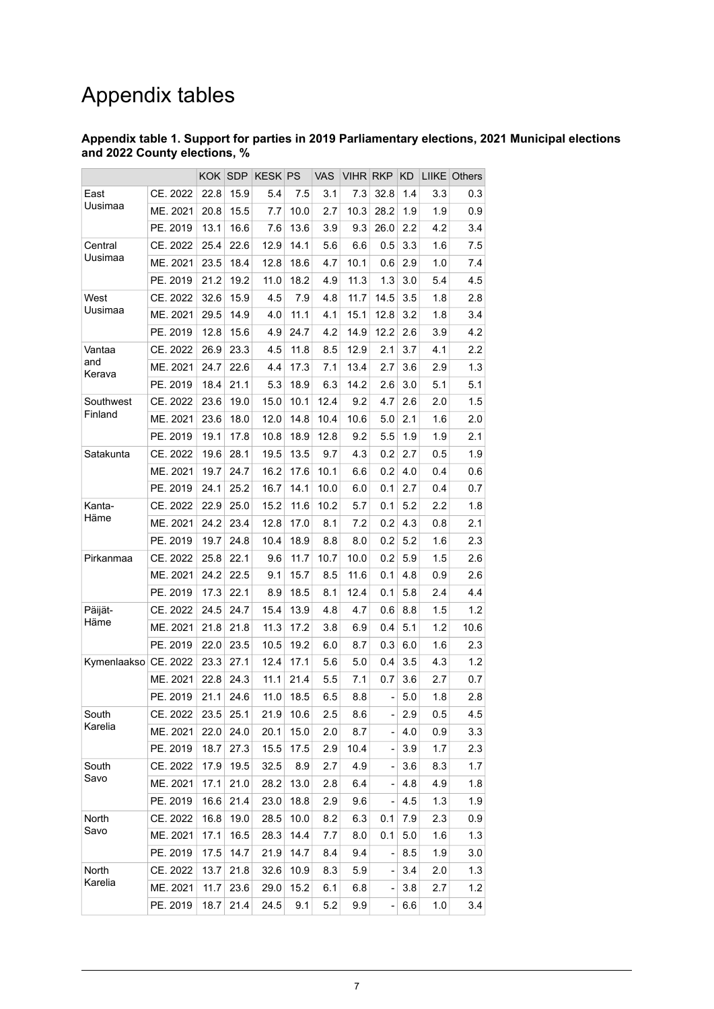## Appendix tables

#### <span id="page-6-0"></span>**Appendix table 1. Support for parties in 2019 Parliamentary elections, 2021 Municipal elections and 2022 County elections, %**

|               |          | <b>KOK</b> | <b>SDP</b> | <b>KESK</b> | <b>PS</b> | <b>VAS</b> | <b>VIHR</b> | <b>RKP</b>     | ΚD  | <b>LIIKE</b> | Others |
|---------------|----------|------------|------------|-------------|-----------|------------|-------------|----------------|-----|--------------|--------|
| East          | CE. 2022 | 22.8       | 15.9       | 5.4         | 7.5       | 3.1        | 7.3         | 32.8           | 1.4 | 3.3          | 0.3    |
| Uusimaa       | ME. 2021 | 20.8       | 15.5       | 7.7         | 10.0      | 2.7        | 10.3        | 28.2           | 1.9 | 1.9          | 0.9    |
|               | PE. 2019 | 13.1       | 16.6       | 7.6         | 13.6      | 3.9        | 9.3         | 26.0           | 2.2 | 4.2          | 3.4    |
| Central       | CE. 2022 | 25.4       | 22.6       | 12.9        | 14.1      | 5.6        | 6.6         | 0.5            | 3.3 | 1.6          | 7.5    |
| Uusimaa       | ME. 2021 | 23.5       | 18.4       | 12.8        | 18.6      | 4.7        | 10.1        | 0.6            | 2.9 | 1.0          | 7.4    |
|               | PE. 2019 | 21.2       | 19.2       | 11.0        | 18.2      | 4.9        | 11.3        | 1.3            | 3.0 | 5.4          | 4.5    |
| West          | CE. 2022 | 32.6       | 15.9       | 4.5         | 7.9       | 4.8        | 11.7        | 14.5           | 3.5 | 1.8          | 2.8    |
| Uusimaa       | ME. 2021 | 29.5       | 14.9       | 4.0         | 11.1      | 4.1        | 15.1        | 12.8           | 3.2 | 1.8          | 3.4    |
|               | PE. 2019 | 12.8       | 15.6       | 4.9         | 24.7      | 4.2        | 14.9        | 12.2           | 2.6 | 3.9          | 4.2    |
| Vantaa        | CE. 2022 | 26.9       | 23.3       | 4.5         | 11.8      | 8.5        | 12.9        | 2.1            | 3.7 | 4.1          | 2.2    |
| and<br>Kerava | ME. 2021 | 24.7       | 22.6       | 4.4         | 17.3      | 7.1        | 13.4        | 2.7            | 3.6 | 2.9          | 1.3    |
|               | PE. 2019 | 18.4       | 21.1       | 5.3         | 18.9      | 6.3        | 14.2        | 2.6            | 3.0 | 5.1          | 5.1    |
| Southwest     | CE. 2022 | 23.6       | 19.0       | 15.0        | 10.1      | 12.4       | 9.2         | 4.7            | 2.6 | 2.0          | 1.5    |
| Finland       | ME. 2021 | 23.6       | 18.0       | 12.0        | 14.8      | 10.4       | 10.6        | 5.0            | 2.1 | 1.6          | 2.0    |
|               | PE. 2019 | 19.1       | 17.8       | 10.8        | 18.9      | 12.8       | 9.2         | 5.5            | 1.9 | 1.9          | 2.1    |
| Satakunta     | CE. 2022 | 19.6       | 28.1       | 19.5        | 13.5      | 9.7        | 4.3         | 0.2            | 2.7 | 0.5          | 1.9    |
|               | ME. 2021 | 19.7       | 24.7       | 16.2        | 17.6      | 10.1       | 6.6         | 0.2            | 4.0 | 0.4          | 0.6    |
|               | PE. 2019 | 24.1       | 25.2       | 16.7        | 14.1      | 10.0       | 6.0         | 0.1            | 2.7 | 0.4          | 0.7    |
| Kanta-        | CE. 2022 | 22.9       | 25.0       | 15.2        | 11.6      | 10.2       | 5.7         | 0.1            | 5.2 | 2.2          | 1.8    |
| Häme          | ME. 2021 | 24.2       | 23.4       | 12.8        | 17.0      | 8.1        | 7.2         | 0.2            | 4.3 | 0.8          | 2.1    |
|               | PE. 2019 | 19.7       | 24.8       | 10.4        | 18.9      | 8.8        | 8.0         | 0.2            | 5.2 | 1.6          | 2.3    |
| Pirkanmaa     | CE. 2022 | 25.8       | 22.1       | 9.6         | 11.7      | 10.7       | 10.0        | 0.2            | 5.9 | 1.5          | 2.6    |
|               | ME. 2021 | 24.2       | 22.5       | 9.1         | 15.7      | 8.5        | 11.6        | 0.1            | 4.8 | 0.9          | 2.6    |
|               | PE. 2019 | 17.3       | 22.1       | 8.9         | 18.5      | 8.1        | 12.4        | 0.1            | 5.8 | 2.4          | 4.4    |
| Päijät-       | CE. 2022 | 24.5       | 24.7       | 15.4        | 13.9      | 4.8        | 4.7         | 0.6            | 8.8 | 1.5          | 1.2    |
| Häme          | ME. 2021 | 21.8       | 21.8       | 11.3        | 17.2      | 3.8        | 6.9         | 0.4            | 5.1 | 1.2          | 10.6   |
|               | PE. 2019 | 22.0       | 23.5       | 10.5        | 19.2      | 6.0        | 8.7         | 0.3            | 6.0 | 1.6          | 2.3    |
| Kymenlaakso   | CE. 2022 | 23.3       | 27.1       | 12.4        | 17.1      | 5.6        | 5.0         | 0.4            | 3.5 | 4.3          | 1.2    |
|               | ME. 2021 | 22.8       | 24.3       | 11.1        | 21.4      | 5.5        | 7.1         | 0.7            | 3.6 | 2.7          | 0.7    |
|               | PE. 2019 | 21.1       | 24.6       | 11.0        | 18.5      | 6.5        | 8.8         |                | 5.0 | 1.8          | 2.8    |
| South         | CE. 2022 | 23.5       | 25.1       | 21.9        | 10.6      | 2.5        | 8.6         |                | 2.9 | 0.5          | 4.5    |
| Karelia       | ME. 2021 | 22.0       | 24.0       | 20.1        | 15.0      | 2.0        | 8.7         | $\Box$         | 4.0 | 0.9          | 3.3    |
|               | PE. 2019 | 18.7       | 27.3       | 15.5        | 17.5      | 2.9        | 10.4        |                | 3.9 | 1.7          | 2.3    |
| South         | CE. 2022 | 17.9       | 19.5       | 32.5        | 8.9       | 2.7        | 4.9         |                | 3.6 | 8.3          | 1.7    |
| Savo          | ME. 2021 | 17.1       | 21.0       | 28.2        | 13.0      | 2.8        | 6.4         | $\blacksquare$ | 4.8 | 4.9          | 1.8    |
|               | PE. 2019 | 16.6       | 21.4       | 23.0        | 18.8      | 2.9        | 9.6         |                | 4.5 | 1.3          | 1.9    |
| North         | CE. 2022 | 16.8       | 19.0       | 28.5        | 10.0      | 8.2        | 6.3         | 0.1            | 7.9 | 2.3          | 0.9    |
| Savo          | ME. 2021 | 17.1       | 16.5       | 28.3        | 14.4      | 7.7        | 8.0         | 0.1            | 5.0 | 1.6          | 1.3    |
|               | PE. 2019 | 17.5       | 14.7       | 21.9        | 14.7      | 8.4        | 9.4         |                | 8.5 | 1.9          | 3.0    |
| North         | CE. 2022 | 13.7       | 21.8       | 32.6        | 10.9      | 8.3        | 5.9         |                | 3.4 | 2.0          | 1.3    |
| Karelia       | ME. 2021 | 11.7       | 23.6       | 29.0        | 15.2      | 6.1        | 6.8         |                | 3.8 | 2.7          | 1.2    |
|               | PE. 2019 | 18.7       | 21.4       | 24.5        | 9.1       | 5.2        | 9.9         |                | 6.6 | 1.0          | 3.4    |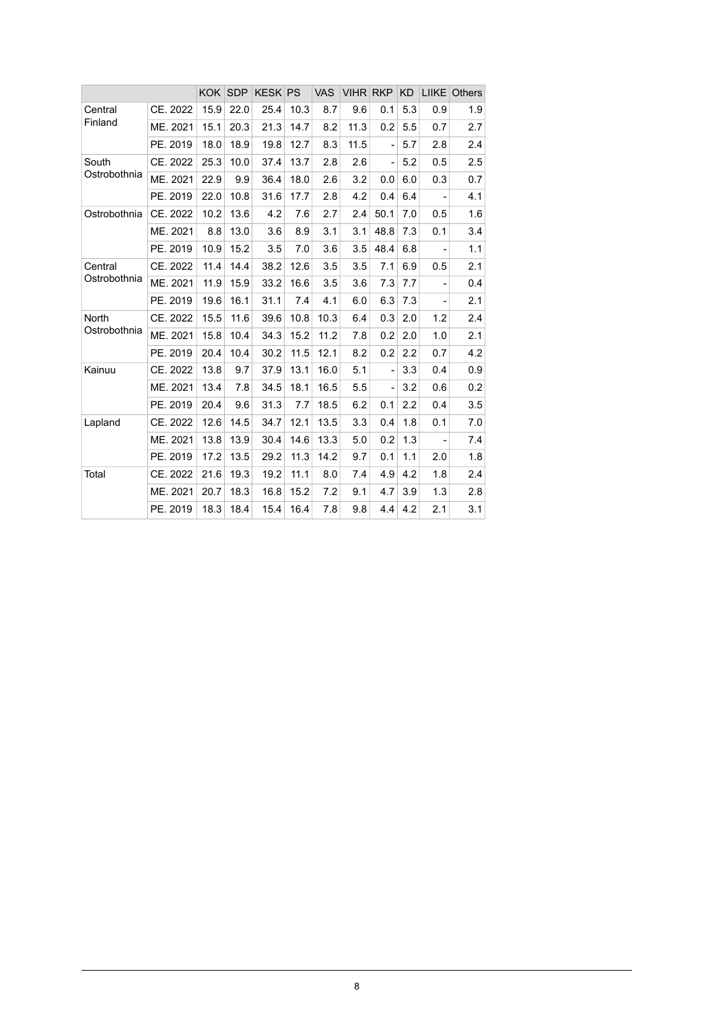|              |          | <b>KOK</b> | <b>SDP</b> | <b>KESK PS</b> |      | <b>VAS</b> | <b>VIHR RKP</b> |                | <b>KD</b> | LIIKE                        | <b>Others</b> |
|--------------|----------|------------|------------|----------------|------|------------|-----------------|----------------|-----------|------------------------------|---------------|
| Central      | CE. 2022 | 15.9       | 22.0       | 25.4           | 10.3 | 8.7        | 9.6             | 0.1            | 5.3       | 0.9                          | 1.9           |
| Finland      | ME. 2021 | 15.1       | 20.3       | 21.3           | 14.7 | 8.2        | 11.3            | 0.2            | 5.5       | 0.7                          | 2.7           |
|              | PE. 2019 | 18.0       | 18.9       | 19.8           | 12.7 | 8.3        | 11.5            |                | 5.7       | 2.8                          | 2.4           |
| South        | CE. 2022 | 25.3       | 10.0       | 37.4           | 13.7 | 2.8        | 2.6             | $\overline{a}$ | 5.2       | 0.5                          | 2.5           |
| Ostrobothnia | ME. 2021 | 22.9       | 9.9        | 36.4           | 18.0 | 2.6        | 3.2             | 0.0            | 6.0       | 0.3                          | 0.7           |
|              | PE. 2019 | 22.0       | 10.8       | 31.6           | 17.7 | 2.8        | 4.2             | 0.4            | 6.4       | $\overline{\phantom{a}}$     | 4.1           |
| Ostrobothnia | CE. 2022 | 10.2       | 13.6       | 4.2            | 7.6  | 2.7        | 2.4             | 50.1           | 7.0       | 0.5                          | 1.6           |
|              | ME. 2021 | 8.8        | 13.0       | 3.6            | 8.9  | 3.1        | 3.1             | 48.8           | 7.3       | 0.1                          | 3.4           |
|              | PE. 2019 | 10.9       | 15.2       | 3.5            | 7.0  | 3.6        | 3.5             | 48.4           | 6.8       | $\overline{\phantom{a}}$     | 1.1           |
| Central      | CE. 2022 | 11.4       | 14.4       | 38.2           | 12.6 | 3.5        | 3.5             | 7.1            | 6.9       | 0.5                          | 2.1           |
| Ostrobothnia | ME. 2021 | 11.9       | 15.9       | 33.2           | 16.6 | 3.5        | 3.6             | 7.3            | 7.7       | $\overline{a}$               | 0.4           |
|              | PE. 2019 | 19.6       | 16.1       | 31.1           | 7.4  | 4.1        | 6.0             | 6.3            | 7.3       | $\qquad \qquad \blacksquare$ | 2.1           |
| North        | CE. 2022 | 15.5       | 11.6       | 39.6           | 10.8 | 10.3       | 6.4             | 0.3            | 2.0       | 1.2                          | 2.4           |
| Ostrobothnia | ME. 2021 | 15.8       | 10.4       | 34.3           | 15.2 | 11.2       | 7.8             | 0.2            | 2.0       | 1.0                          | 2.1           |
|              | PE. 2019 | 20.4       | 10.4       | 30.2           | 11.5 | 12.1       | 8.2             | 0.2            | 2.2       | 0.7                          | 4.2           |
| Kainuu       | CE. 2022 | 13.8       | 9.7        | 37.9           | 13.1 | 16.0       | 5.1             |                | 3.3       | 0.4                          | 0.9           |
|              | ME. 2021 | 13.4       | 7.8        | 34.5           | 18.1 | 16.5       | 5.5             |                | 3.2       | 0.6                          | 0.2           |
|              | PE. 2019 | 20.4       | 9.6        | 31.3           | 7.7  | 18.5       | 6.2             | 0.1            | 2.2       | 0.4                          | 3.5           |
| Lapland      | CE. 2022 | 12.6       | 14.5       | 34.7           | 12.1 | 13.5       | 3.3             | 0.4            | 1.8       | 0.1                          | 7.0           |
|              | ME. 2021 | 13.8       | 13.9       | 30.4           | 14.6 | 13.3       | 5.0             | 0.2            | 1.3       | $\qquad \qquad \blacksquare$ | 7.4           |
|              | PE. 2019 | 17.2       | 13.5       | 29.2           | 11.3 | 14.2       | 9.7             | 0.1            | 1.1       | 2.0                          | 1.8           |
| Total        | CE. 2022 | 21.6       | 19.3       | 19.2           | 11.1 | 8.0        | 7.4             | 4.9            | 4.2       | 1.8                          | 2.4           |
|              | ME. 2021 | 20.7       | 18.3       | 16.8           | 15.2 | 7.2        | 9.1             | 4.7            | 3.9       | 1.3                          | 2.8           |
|              | PE. 2019 | 18.3       | 18.4       | 15.4           | 16.4 | 7.8        | 9.8             | 4.4            | 4.2       | 2.1                          | 3.1           |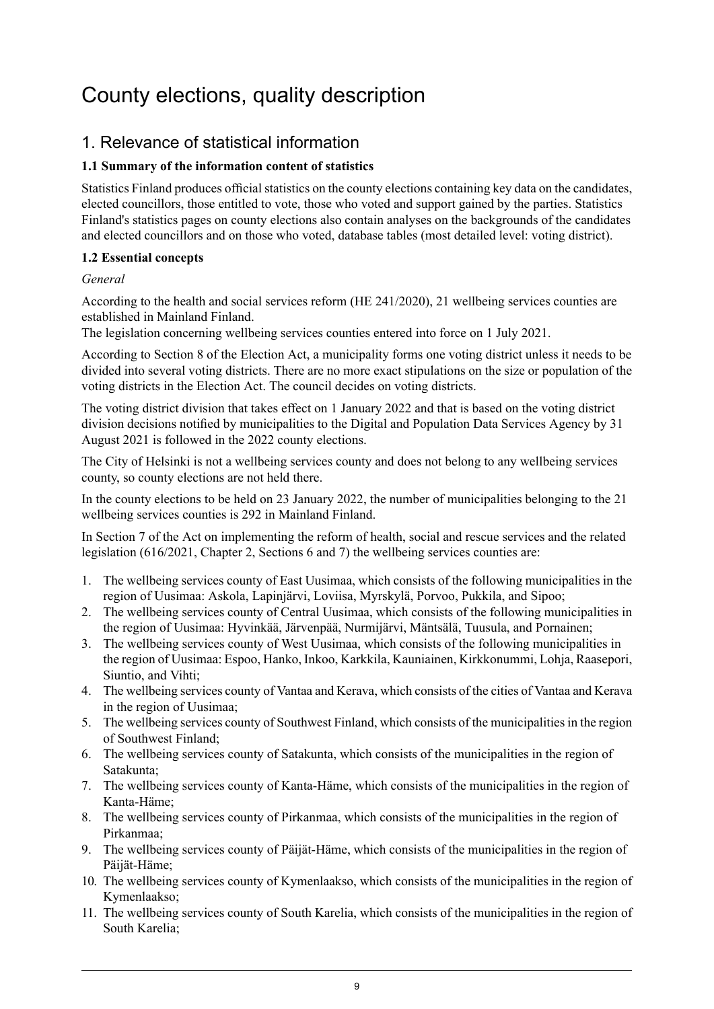## <span id="page-8-0"></span>County elections, quality description

## 1. Relevance of statistical information

### **1.1 Summary of the information content of statistics**

Statistics Finland produces official statistics on the county elections containing key data on the candidates, elected councillors, those entitled to vote, those who voted and support gained by the parties. Statistics Finland's statistics pages on county elections also contain analyses on the backgrounds of the candidates and elected councillors and on those who voted, database tables (most detailed level: voting district).

#### **1.2 Essential concepts**

#### *General*

According to the health and social services reform (HE 241/2020), 21 wellbeing services counties are established in Mainland Finland.

The legislation concerning wellbeing services counties entered into force on 1 July 2021.

According to Section 8 of the Election Act, a municipality forms one voting district unless it needs to be divided into several voting districts. There are no more exact stipulations on the size or population of the voting districts in the Election Act. The council decides on voting districts.

The voting district division that takes effect on 1 January 2022 and that is based on the voting district division decisions notified by municipalities to the Digital and Population Data Services Agency by 31 August 2021 is followed in the 2022 county elections.

The City of Helsinki is not a wellbeing services county and does not belong to any wellbeing services county, so county elections are not held there.

In the county elections to be held on 23 January 2022, the number of municipalities belonging to the 21 wellbeing services counties is 292 in Mainland Finland.

In Section 7 of the Act on implementing the reform of health, social and rescue services and the related legislation (616/2021, Chapter 2, Sections 6 and 7) the wellbeing services counties are:

- 1. The wellbeing services county of East Uusimaa, which consists of the following municipalities in the region of Uusimaa: Askola, Lapinjärvi, Loviisa, Myrskylä, Porvoo, Pukkila, and Sipoo;
- 2. The wellbeing services county of Central Uusimaa, which consists of the following municipalities in the region of Uusimaa: Hyvinkää, Järvenpää, Nurmijärvi, Mäntsälä, Tuusula, and Pornainen;
- 3. The wellbeing services county of West Uusimaa, which consists of the following municipalities in the region of Uusimaa: Espoo, Hanko, Inkoo, Karkkila, Kauniainen, Kirkkonummi, Lohja, Raasepori, Siuntio, and Vihti;
- 4. The wellbeing services county of Vantaa and Kerava, which consists of the cities of Vantaa and Kerava in the region of Uusimaa;
- 5. The wellbeing services county of Southwest Finland, which consists of the municipalities in the region of Southwest Finland;
- 6. The wellbeing services county of Satakunta, which consists of the municipalities in the region of Satakunta;
- 7. The wellbeing services county of Kanta-Häme, which consists of the municipalities in the region of Kanta-Häme;
- 8. The wellbeing services county of Pirkanmaa, which consists of the municipalities in the region of Pirkanmaa;
- 9. The wellbeing services county of Päijät-Häme, which consists of the municipalities in the region of Päijät-Häme;
- 10. The wellbeing services county of Kymenlaakso, which consists of the municipalities in the region of Kymenlaakso;
- 11. The wellbeing services county of South Karelia, which consists of the municipalities in the region of South Karelia;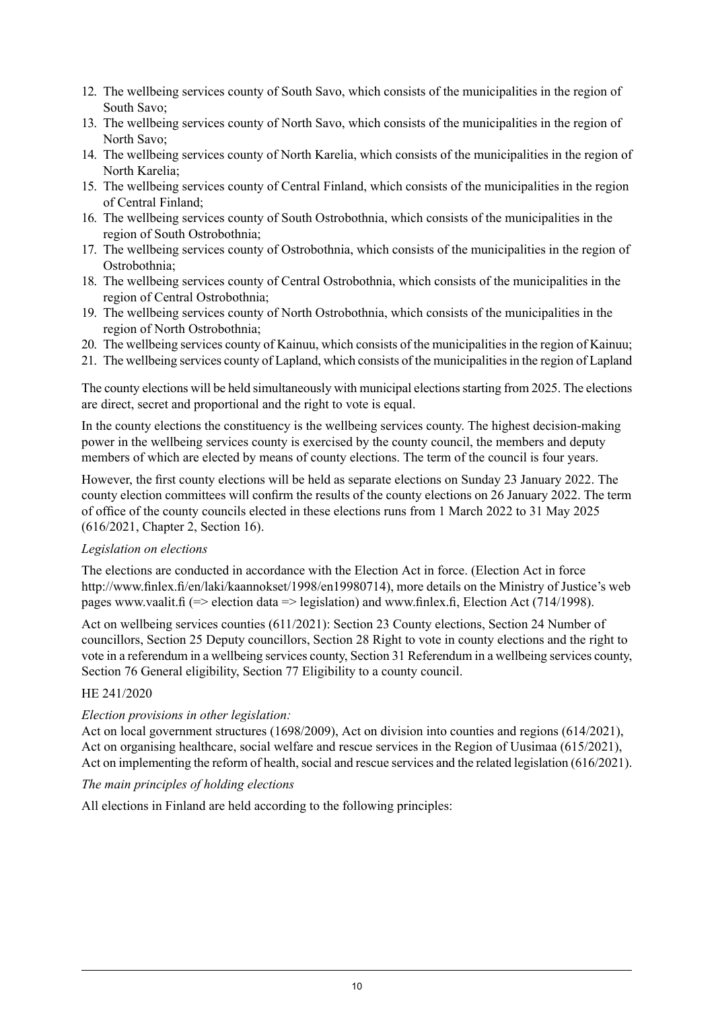- 12. The wellbeing services county of South Savo, which consists of the municipalities in the region of South Savo;
- 13. The wellbeing services county of North Savo, which consists of the municipalities in the region of North Savo;
- 14. The wellbeing services county of North Karelia, which consists of the municipalities in the region of North Karelia;
- 15. The wellbeing services county of Central Finland, which consists of the municipalities in the region of Central Finland;
- 16. The wellbeing services county of South Ostrobothnia, which consists of the municipalities in the region of South Ostrobothnia;
- 17. The wellbeing services county of Ostrobothnia, which consists of the municipalities in the region of Ostrobothnia;
- 18. The wellbeing services county of Central Ostrobothnia, which consists of the municipalities in the region of Central Ostrobothnia;
- 19. The wellbeing services county of North Ostrobothnia, which consists of the municipalities in the region of North Ostrobothnia;
- 20. The wellbeing services county of Kainuu, which consists of the municipalities in the region of Kainuu;
- 21. The wellbeing services county of Lapland, which consists of the municipalitiesin the region of Lapland

The county elections will be held simultaneously with municipal elections starting from 2025. The elections are direct, secret and proportional and the right to vote is equal.

In the county elections the constituency is the wellbeing services county. The highest decision-making power in the wellbeing services county is exercised by the county council, the members and deputy members of which are elected by means of county elections. The term of the council is four years.

However, the first county elections will be held as separate elections on Sunday 23 January 2022. The county election committees will confirm the results of the county elections on 26 January 2022. The term of office of the county councils elected in these elections runs from 1 March 2022 to 31 May 2025 (616/2021, Chapter 2, Section 16).

#### *Legislation on elections*

The elections are conducted in accordance with the Election Act in force. (Election Act in force http://www.finlex.fi/en/laki/kaannokset/1998/en19980714), more details on the Ministry of Justice's web pages www.vaalit.fi (=> election data => legislation) and www.finlex.fi, Election Act (714/1998).

Act on wellbeing services counties (611/2021): Section 23 County elections, Section 24 Number of councillors, Section 25 Deputy councillors, Section 28 Right to vote in county elections and the right to vote in a referendum in a wellbeing services county, Section 31 Referendum in a wellbeing services county, Section 76 General eligibility, Section 77 Eligibility to a county council.

#### HE 241/2020

#### *Election provisions in other legislation:*

Act on local government structures (1698/2009), Act on division into counties and regions (614/2021), Act on organising healthcare, social welfare and rescue services in the Region of Uusimaa (615/2021), Act on implementing the reform of health, social and rescue services and the related legislation (616/2021).

#### *The main principles of holding elections*

All elections in Finland are held according to the following principles: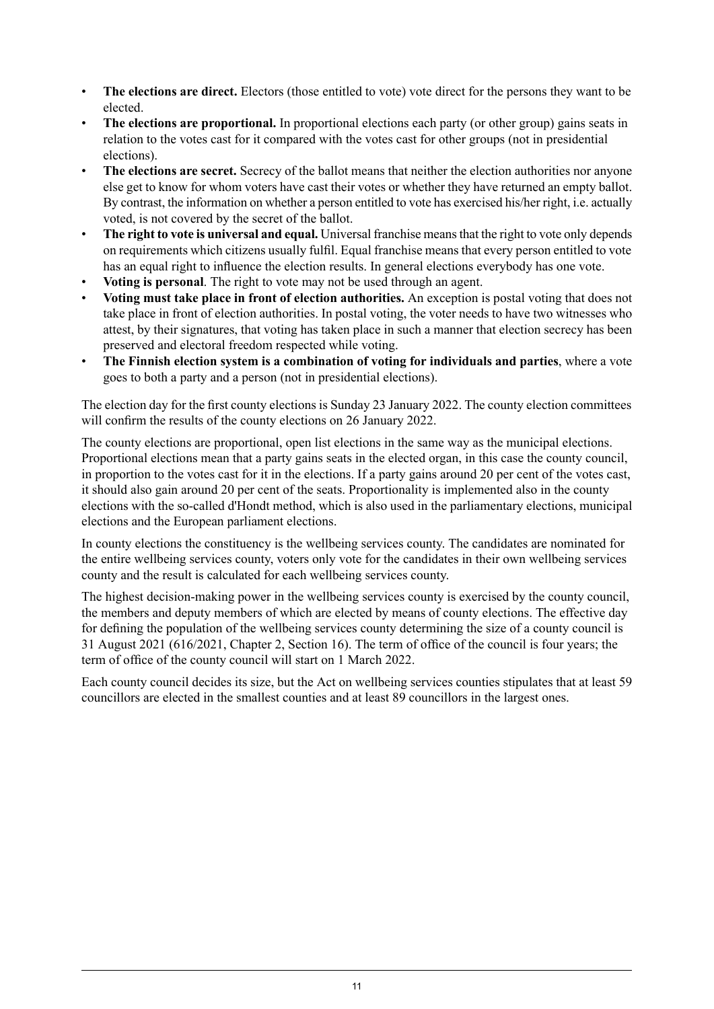- **The elections are direct.** Electors (those entitled to vote) vote direct for the persons they want to be elected.
- **The elections are proportional.** In proportional elections each party (or other group) gains seats in relation to the votes cast for it compared with the votes cast for other groups (not in presidential elections).
- **The elections are secret.** Secrecy of the ballot means that neither the election authorities nor anyone else get to know for whom voters have cast their votes or whether they have returned an empty ballot. By contrast, the information on whether a person entitled to vote has exercised his/her right, i.e. actually voted, is not covered by the secret of the ballot.
- **The right to vote is universal and equal.** Universal franchise meansthat the right to vote only depends on requirements which citizens usually fulfil. Equal franchise means that every person entitled to vote has an equal right to influence the election results. In general elections everybody has one vote.
- **Voting is personal**. The right to vote may not be used through an agent.
- **Voting must take place in front of election authorities.** An exception is postal voting that does not take place in front of election authorities. In postal voting, the voter needs to have two witnesses who attest, by their signatures, that voting has taken place in such a manner that election secrecy has been preserved and electoral freedom respected while voting.
- **The Finnish election system is a combination of voting for individuals and parties**, where a vote goes to both a party and a person (not in presidential elections).

The election day for the first county elections is Sunday 23 January 2022. The county election committees will confirm the results of the county elections on 26 January 2022.

The county elections are proportional, open list elections in the same way as the municipal elections. Proportional elections mean that a party gains seats in the elected organ, in this case the county council, in proportion to the votes cast for it in the elections. If a party gains around 20 per cent of the votes cast, it should also gain around 20 per cent of the seats. Proportionality is implemented also in the county elections with the so-called d'Hondt method, which is also used in the parliamentary elections, municipal elections and the European parliament elections.

In county elections the constituency is the wellbeing services county. The candidates are nominated for the entire wellbeing services county, voters only vote for the candidates in their own wellbeing services county and the result is calculated for each wellbeing services county.

The highest decision-making power in the wellbeing services county is exercised by the county council, the members and deputy members of which are elected by means of county elections. The effective day for defining the population of the wellbeing services county determining the size of a county council is 31 August 2021 (616/2021, Chapter 2, Section 16). The term of office of the council is four years; the term of office of the county council will start on 1 March 2022.

Each county council decides its size, but the Act on wellbeing services counties stipulates that at least 59 councillors are elected in the smallest counties and at least 89 councillors in the largest ones.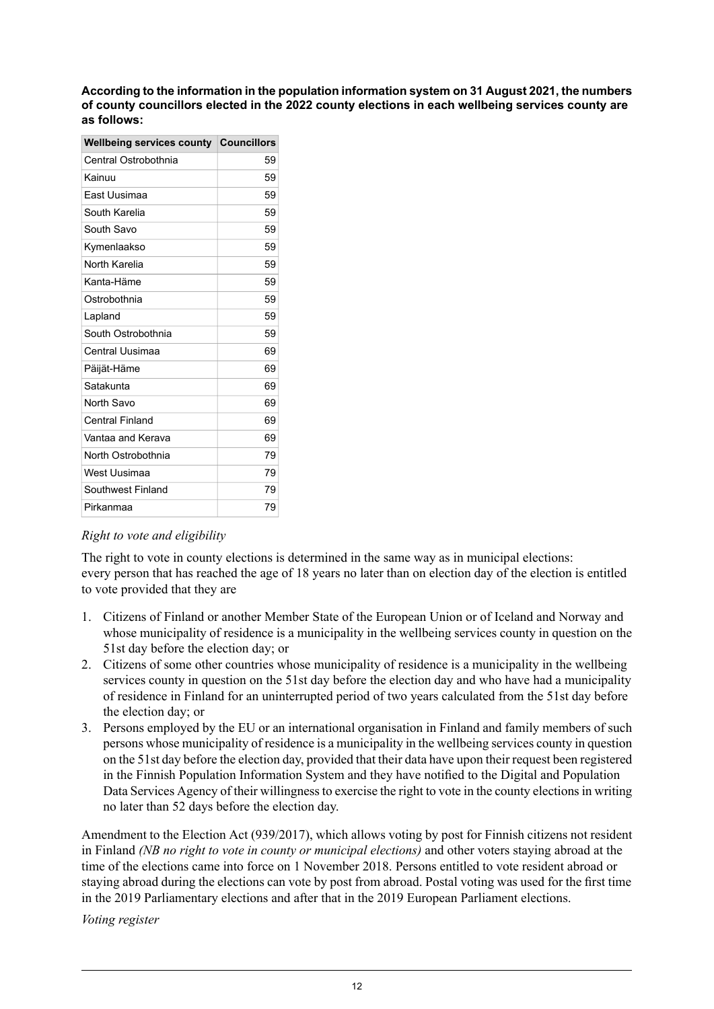**According to theinformation in the population information system on 31 August2021, the numbers of county councillors elected in the 2022 county elections in each wellbeing services county are as follows:**

| <b>Councillors</b> |
|--------------------|
| 59                 |
| 59                 |
| 59                 |
| 59                 |
| 59                 |
| 59                 |
| 59                 |
| 59                 |
| 59                 |
| 59                 |
| 59                 |
| 69                 |
| 69                 |
| 69                 |
| 69                 |
| 69                 |
| 69                 |
| 79                 |
| 79                 |
| 79                 |
| 79                 |
|                    |

#### *Right to vote and eligibility*

The right to vote in county elections is determined in the same way as in municipal elections: every person that has reached the age of 18 years no later than on election day of the election is entitled to vote provided that they are

- 1. Citizens of Finland or another Member State of the European Union or of Iceland and Norway and whose municipality of residence is a municipality in the wellbeing services county in question on the 51st day before the election day; or
- 2. Citizens of some other countries whose municipality of residence is a municipality in the wellbeing services county in question on the 51st day before the election day and who have had a municipality of residence in Finland for an uninterrupted period of two years calculated from the 51st day before the election day; or
- 3. Persons employed by the EU or an international organisation in Finland and family members of such persons whose municipality of residence is a municipality in the wellbeing services county in question on the 51st day before the election day, provided that their data have upon their request been registered in the Finnish Population Information System and they have notified to the Digital and Population Data Services Agency of their willingness to exercise the right to vote in the county elections in writing no later than 52 days before the election day.

Amendment to the Election Act (939/2017), which allows voting by post for Finnish citizens not resident in Finland *(NB no right to vote in county or municipal elections)* and other voters staying abroad at the time of the elections came into force on 1 November 2018. Persons entitled to vote resident abroad or staying abroad during the elections can vote by post from abroad. Postal voting was used for the first time in the 2019 Parliamentary elections and after that in the 2019 European Parliament elections.

*Voting register*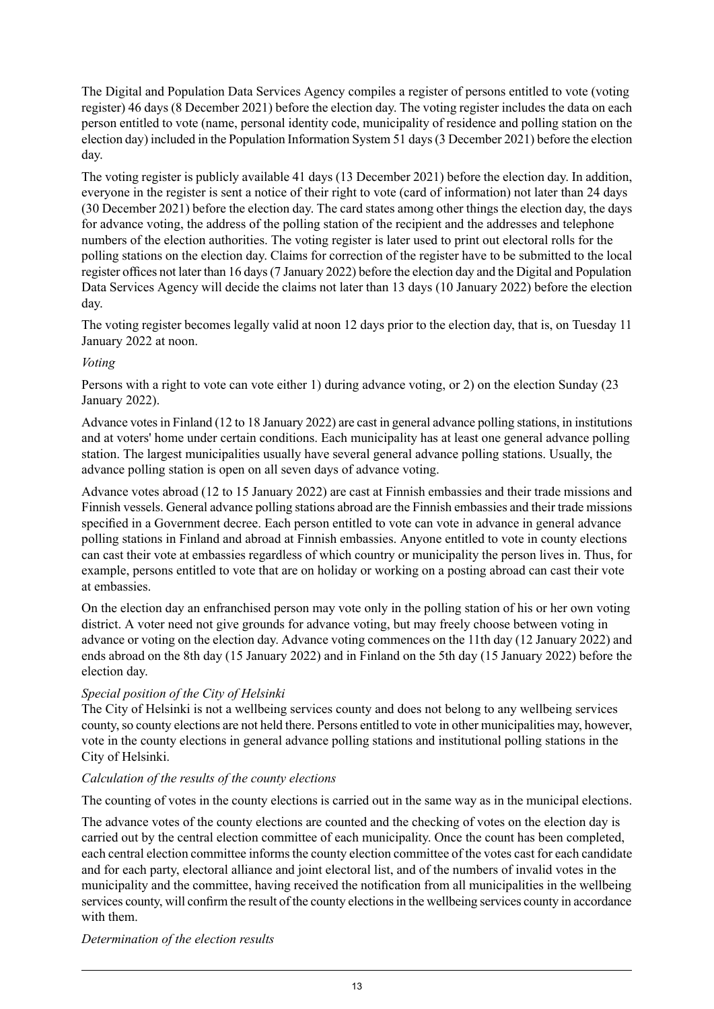The Digital and Population Data Services Agency compiles a register of persons entitled to vote (voting register) 46 days (8 December 2021) before the election day. The voting register includes the data on each person entitled to vote (name, personal identity code, municipality of residence and polling station on the election day) included in the Population Information System 51 days(3 December 2021) before the election day.

The voting register is publicly available 41 days (13 December 2021) before the election day. In addition, everyone in the register is sent a notice of their right to vote (card of information) not later than 24 days (30 December 2021) before the election day. The card states among other things the election day, the days for advance voting, the address of the polling station of the recipient and the addresses and telephone numbers of the election authorities. The voting register is later used to print out electoral rolls for the polling stations on the election day. Claims for correction of the register have to be submitted to the local register offices not later than 16 days(7 January 2022) before the election day and the Digital and Population Data Services Agency will decide the claims not later than 13 days (10 January 2022) before the election day.

The voting register becomes legally valid at noon 12 days prior to the election day, that is, on Tuesday 11 January 2022 at noon.

#### *Voting*

Persons with a right to vote can vote either 1) during advance voting, or 2) on the election Sunday (23 January 2022).

Advance votesin Finland (12 to 18 January 2022) are cast in general advance polling stations, in institutions and at voters' home under certain conditions. Each municipality has at least one general advance polling station. The largest municipalities usually have several general advance polling stations. Usually, the advance polling station is open on all seven days of advance voting.

Advance votes abroad (12 to 15 January 2022) are cast at Finnish embassies and their trade missions and Finnish vessels. General advance polling stations abroad are the Finnish embassies and their trade missions specified in a Government decree. Each person entitled to vote can vote in advance in general advance polling stations in Finland and abroad at Finnish embassies. Anyone entitled to vote in county elections can cast their vote at embassies regardless of which country or municipality the person lives in. Thus, for example, persons entitled to vote that are on holiday or working on a posting abroad can cast their vote at embassies.

On the election day an enfranchised person may vote only in the polling station of his or her own voting district. A voter need not give grounds for advance voting, but may freely choose between voting in advance or voting on the election day. Advance voting commences on the 11th day (12 January 2022) and ends abroad on the 8th day (15 January 2022) and in Finland on the 5th day (15 January 2022) before the election day.

#### *Special position of the City of Helsinki*

The City of Helsinki is not a wellbeing services county and does not belong to any wellbeing services county, so county elections are not held there. Persons entitled to vote in other municipalities may, however, vote in the county elections in general advance polling stations and institutional polling stations in the City of Helsinki.

#### *Calculation of the results of the county elections*

The counting of votes in the county elections is carried out in the same way as in the municipal elections.

The advance votes of the county elections are counted and the checking of votes on the election day is carried out by the central election committee of each municipality. Once the count has been completed, each central election committee informs the county election committee of the votes cast for each candidate and for each party, electoral alliance and joint electoral list, and of the numbers of invalid votes in the municipality and the committee, having received the notification from all municipalities in the wellbeing services county, will confirm the result of the county elections in the wellbeing services county in accordance with them.

*Determination of the election results*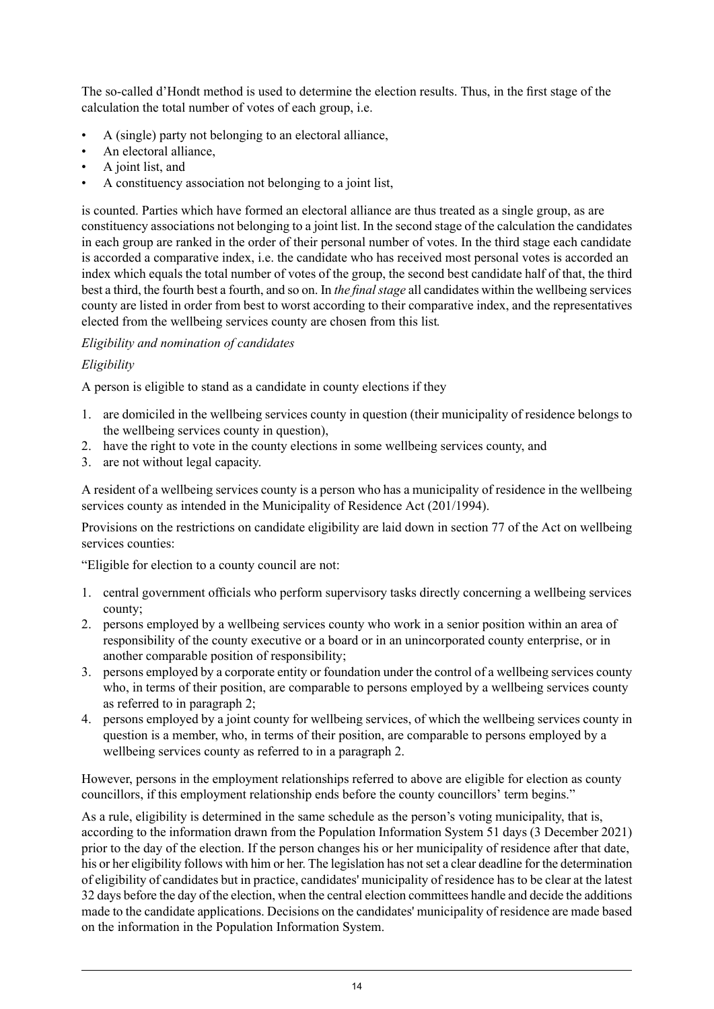The so-called d'Hondt method is used to determine the election results. Thus, in the first stage of the calculation the total number of votes of each group, i.e.

- A (single) party not belonging to an electoral alliance,
- An electoral alliance,
- A joint list, and
- A constituency association not belonging to a joint list,

is counted. Parties which have formed an electoral alliance are thus treated as a single group, as are constituency associations not belonging to a joint list. In the second stage of the calculation the candidates in each group are ranked in the order of their personal number of votes. In the third stage each candidate is accorded a comparative index, i.e. the candidate who has received most personal votes is accorded an index which equals the total number of votes of the group, the second best candidate half of that, the third best a third, the fourth best a fourth, and so on. In *the final stage* all candidates within the wellbeing services county are listed in order from best to worst according to their comparative index, and the representatives elected from the wellbeing services county are chosen from this list*.*

#### *Eligibility and nomination of candidates*

#### *Eligibility*

A person is eligible to stand as a candidate in county elections if they

- 1. are domiciled in the wellbeing services county in question (their municipality of residence belongs to the wellbeing services county in question),
- 2. have the right to vote in the county elections in some wellbeing services county, and
- 3. are not without legal capacity.

A resident of a wellbeing services county is a person who has a municipality of residence in the wellbeing services county as intended in the Municipality of Residence Act (201/1994).

Provisions on the restrictions on candidate eligibility are laid down in section 77 of the Act on wellbeing services counties:

"Eligible for election to a county council are not:

- 1. central government officials who perform supervisory tasks directly concerning a wellbeing services county;
- 2. persons employed by a wellbeing services county who work in a senior position within an area of responsibility of the county executive or a board or in an unincorporated county enterprise, or in another comparable position of responsibility;
- 3. persons employed by a corporate entity or foundation under the control of a wellbeing services county who, in terms of their position, are comparable to persons employed by a wellbeing services county as referred to in paragraph 2;
- 4. persons employed by a joint county for wellbeing services, of which the wellbeing services county in question is a member, who, in terms of their position, are comparable to persons employed by a wellbeing services county as referred to in a paragraph 2.

However, persons in the employment relationships referred to above are eligible for election as county councillors, if this employment relationship ends before the county councillors' term begins."

As a rule, eligibility is determined in the same schedule as the person's voting municipality, that is, according to the information drawn from the Population Information System 51 days (3 December 2021) prior to the day of the election. If the person changes his or her municipality of residence after that date, his or her eligibility follows with him or her. The legislation has not set a clear deadline for the determination of eligibility of candidates but in practice, candidates' municipality of residence has to be clear at the latest 32 days before the day of the election, when the central election committees handle and decide the additions made to the candidate applications. Decisions on the candidates' municipality of residence are made based on the information in the Population Information System.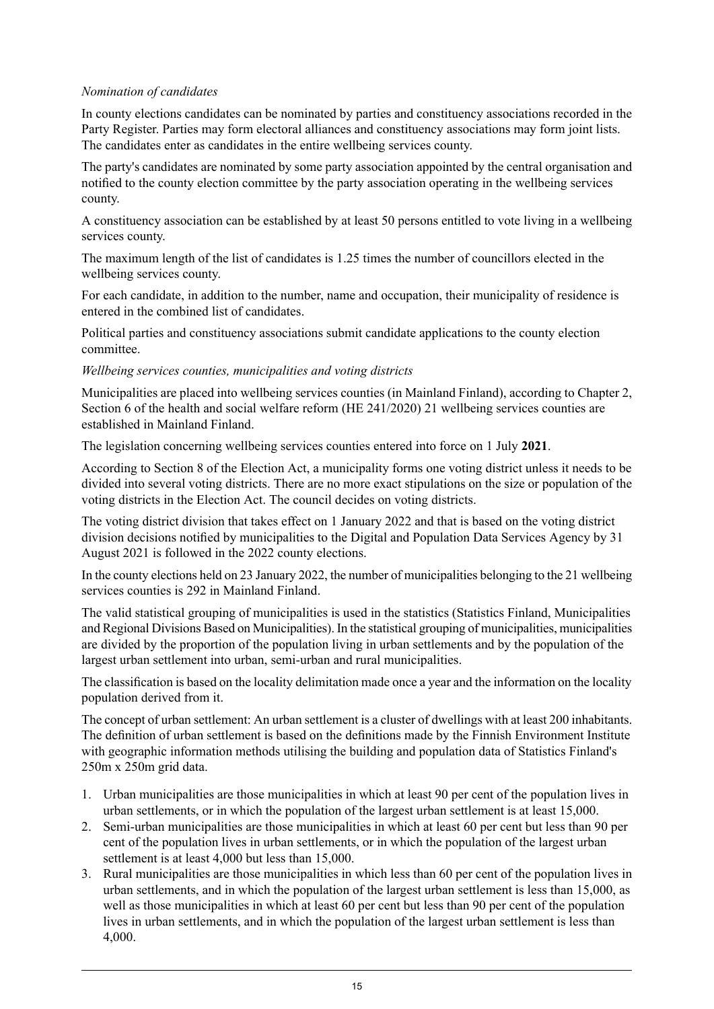#### *Nomination of candidates*

In county elections candidates can be nominated by parties and constituency associations recorded in the Party Register. Parties may form electoral alliances and constituency associations may form joint lists. The candidates enter as candidates in the entire wellbeing services county.

The party's candidates are nominated by some party association appointed by the central organisation and notified to the county election committee by the party association operating in the wellbeing services county.

A constituency association can be established by at least 50 persons entitled to vote living in a wellbeing services county.

The maximum length of the list of candidates is 1.25 times the number of councillors elected in the wellbeing services county.

For each candidate, in addition to the number, name and occupation, their municipality of residence is entered in the combined list of candidates.

Political parties and constituency associations submit candidate applications to the county election committee.

#### *Wellbeing services counties, municipalities and voting districts*

Municipalities are placed into wellbeing services counties (in Mainland Finland), according to Chapter 2, Section 6 of the health and social welfare reform (HE 241/2020) 21 wellbeing services counties are established in Mainland Finland.

The legislation concerning wellbeing services counties entered into force on 1 July **2021**.

According to Section 8 of the Election Act, a municipality forms one voting district unless it needs to be divided into several voting districts. There are no more exact stipulations on the size or population of the voting districts in the Election Act. The council decides on voting districts.

The voting district division that takes effect on 1 January 2022 and that is based on the voting district division decisions notified by municipalities to the Digital and Population Data Services Agency by 31 August 2021 is followed in the 2022 county elections.

In the county elections held on 23 January 2022, the number of municipalities belonging to the 21 wellbeing services counties is 292 in Mainland Finland.

The valid statistical grouping of municipalities is used in the statistics (Statistics Finland, Municipalities and Regional Divisions Based on Municipalities). In the statistical grouping of municipalities, municipalities are divided by the proportion of the population living in urban settlements and by the population of the largest urban settlement into urban, semi-urban and rural municipalities.

The classification is based on the locality delimitation made once a year and the information on the locality population derived from it.

The concept of urban settlement: An urban settlement is a cluster of dwellings with at least 200 inhabitants. The definition of urban settlement is based on the definitions made by the Finnish Environment Institute with geographic information methods utilising the building and population data of Statistics Finland's 250m x 250m grid data.

- 1. Urban municipalities are those municipalities in which at least 90 per cent of the population lives in urban settlements, or in which the population of the largest urban settlement is at least 15,000.
- 2. Semi-urban municipalities are those municipalities in which at least 60 per cent but less than 90 per cent of the population lives in urban settlements, or in which the population of the largest urban settlement is at least 4,000 but less than 15,000.
- 3. Rural municipalities are those municipalities in which less than 60 per cent of the population lives in urban settlements, and in which the population of the largest urban settlement is less than 15,000, as well as those municipalities in which at least 60 per cent but less than 90 per cent of the population lives in urban settlements, and in which the population of the largest urban settlement is less than 4,000.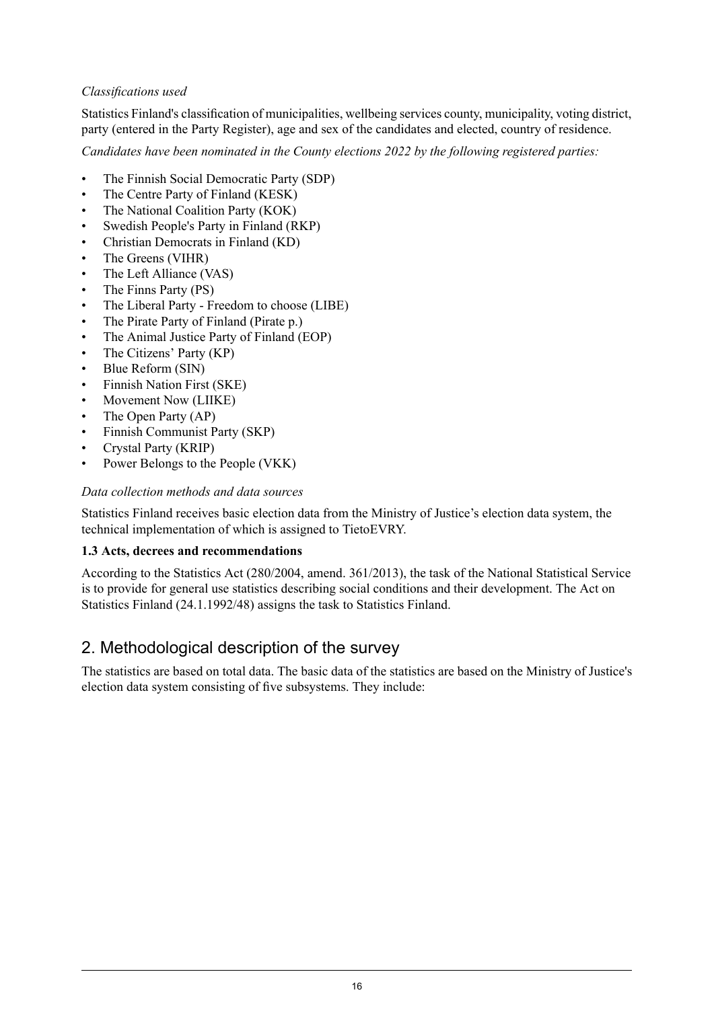#### *Classifications used*

Statistics Finland's classification of municipalities, wellbeing services county, municipality, voting district, party (entered in the Party Register), age and sex of the candidates and elected, country of residence.

*Candidates have been nominated in the County elections 2022 by the following registered parties:*

- The Finnish Social Democratic Party (SDP)
- The Centre Party of Finland (KESK)
- The National Coalition Party (KOK)
- Swedish People's Party in Finland (RKP)
- Christian Democrats in Finland (KD)
- The Greens (VIHR)
- The Left Alliance (VAS)
- The Finns Party (PS)
- The Liberal Party Freedom to choose (LIBE)
- The Pirate Party of Finland (Pirate p.)
- The Animal Justice Party of Finland (EOP)
- The Citizens' Party (KP)
- Blue Reform (SIN)
- Finnish Nation First (SKE)
- Movement Now (LIIKE)
- The Open Party (AP)
- Finnish Communist Party (SKP)
- Crystal Party (KRIP)
- Power Belongs to the People (VKK)

#### *Data collection methods and data sources*

Statistics Finland receives basic election data from the Ministry of Justice's election data system, the technical implementation of which is assigned to TietoEVRY.

#### **1.3 Acts, decrees and recommendations**

According to the Statistics Act (280/2004, amend. 361/2013), the task of the National Statistical Service is to provide for general use statistics describing social conditions and their development. The Act on Statistics Finland (24.1.1992/48) assigns the task to Statistics Finland.

## 2. Methodological description of the survey

The statistics are based on total data. The basic data of the statistics are based on the Ministry of Justice's election data system consisting of five subsystems. They include: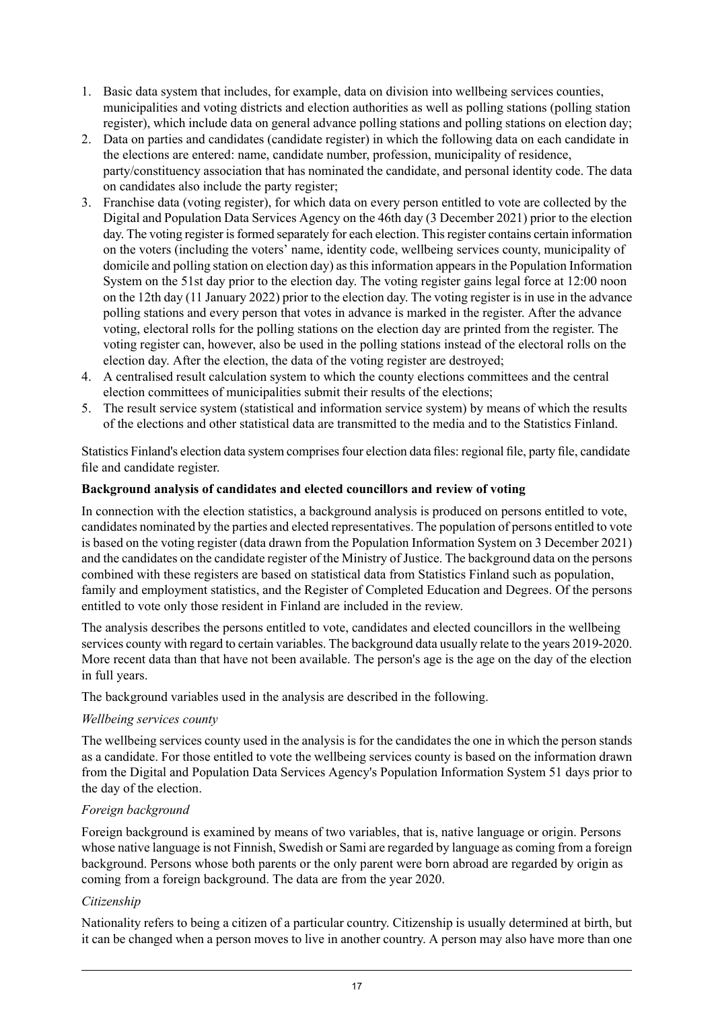- 1. Basic data system that includes, for example, data on division into wellbeing services counties, municipalities and voting districts and election authorities as well as polling stations (polling station register), which include data on general advance polling stations and polling stations on election day;
- 2. Data on parties and candidates (candidate register) in which the following data on each candidate in the elections are entered: name, candidate number, profession, municipality of residence, party/constituency association that has nominated the candidate, and personal identity code. The data on candidates also include the party register;
- 3. Franchise data (voting register), for which data on every person entitled to vote are collected by the Digital and Population Data Services Agency on the 46th day (3 December 2021) prior to the election day. The voting register is formed separately for each election. This register contains certain information on the voters (including the voters' name, identity code, wellbeing services county, municipality of domicile and polling station on election day) asthisinformation appearsin the Population Information System on the 51st day prior to the election day. The voting register gains legal force at 12:00 noon on the 12th day (11 January 2022) prior to the election day. The voting register is in use in the advance polling stations and every person that votes in advance is marked in the register. After the advance voting, electoral rolls for the polling stations on the election day are printed from the register. The voting register can, however, also be used in the polling stations instead of the electoral rolls on the election day. After the election, the data of the voting register are destroyed;
- 4. A centralised result calculation system to which the county elections committees and the central election committees of municipalities submit their results of the elections;
- 5. The result service system (statistical and information service system) by means of which the results of the elections and other statistical data are transmitted to the media and to the Statistics Finland.

Statistics Finland's election data system comprises four election data files: regional file, party file, candidate file and candidate register.

#### **Background analysis of candidates and elected councillors and review of voting**

In connection with the election statistics, a background analysis is produced on persons entitled to vote, candidates nominated by the parties and elected representatives. The population of persons entitled to vote is based on the voting register (data drawn from the Population Information System on 3 December 2021) and the candidates on the candidate register of the Ministry of Justice. The background data on the persons combined with these registers are based on statistical data from Statistics Finland such as population, family and employment statistics, and the Register of Completed Education and Degrees. Of the persons entitled to vote only those resident in Finland are included in the review.

The analysis describes the persons entitled to vote, candidates and elected councillors in the wellbeing services county with regard to certain variables. The background data usually relate to the years 2019-2020. More recent data than that have not been available. The person's age is the age on the day of the election in full years.

The background variables used in the analysis are described in the following.

#### *Wellbeing services county*

The wellbeing services county used in the analysis is for the candidates the one in which the person stands as a candidate. For those entitled to vote the wellbeing services county is based on the information drawn from the Digital and Population Data Services Agency's Population Information System 51 days prior to the day of the election.

#### *Foreign background*

Foreign background is examined by means of two variables, that is, native language or origin. Persons whose native language is not Finnish, Swedish or Sami are regarded by language as coming from a foreign background. Persons whose both parents or the only parent were born abroad are regarded by origin as coming from a foreign background. The data are from the year 2020.

#### *Citizenship*

Nationality refers to being a citizen of a particular country. Citizenship is usually determined at birth, but it can be changed when a person moves to live in another country. A person may also have more than one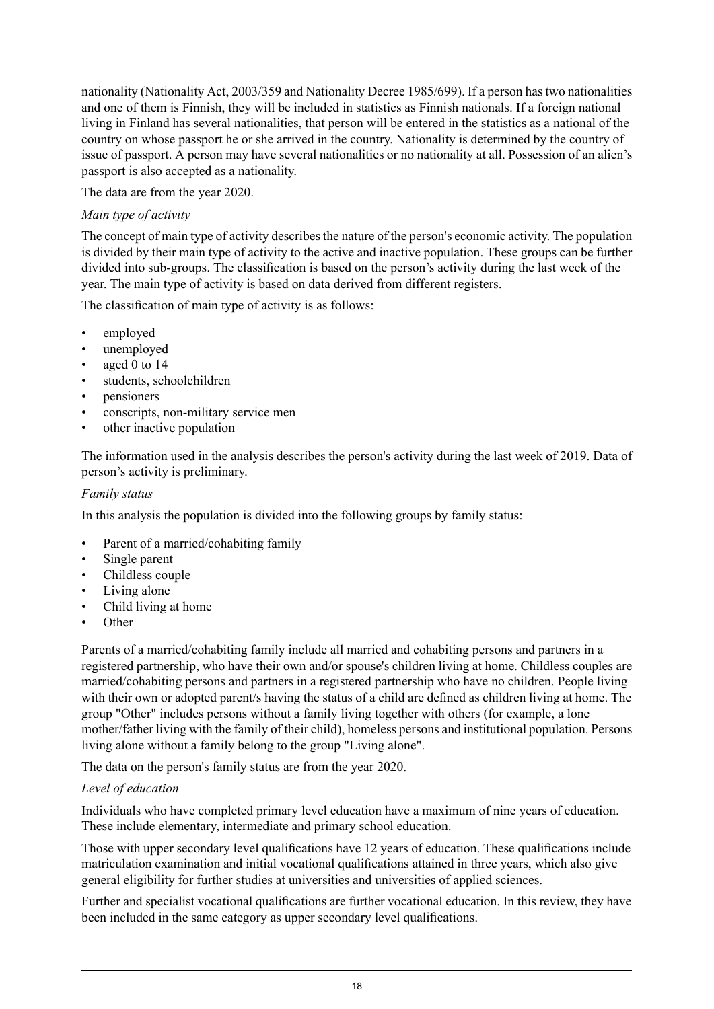nationality (Nationality Act, 2003/359 and Nationality Decree 1985/699). If a person has two nationalities and one of them is Finnish, they will be included in statistics as Finnish nationals. If a foreign national living in Finland has several nationalities, that person will be entered in the statistics as a national of the country on whose passport he or she arrived in the country. Nationality is determined by the country of issue of passport. A person may have several nationalities or no nationality at all. Possession of an alien's passport is also accepted as a nationality.

The data are from the year 2020.

#### *Main type of activity*

The concept of main type of activity describes the nature of the person's economic activity. The population is divided by their main type of activity to the active and inactive population. These groups can be further divided into sub-groups. The classification is based on the person's activity during the last week of the year. The main type of activity is based on data derived from different registers.

The classification of main type of activity is as follows:

- employed
- unemployed
- aged 0 to 14
- students, schoolchildren
- pensioners
- conscripts, non-military service men
- other inactive population

The information used in the analysis describes the person's activity during the last week of 2019. Data of person's activity is preliminary.

#### *Family status*

In this analysis the population is divided into the following groups by family status:

- Parent of a married/cohabiting family
- Single parent
- Childless couple
- Living alone
- Child living at home
- Other

Parents of a married/cohabiting family include all married and cohabiting persons and partners in a registered partnership, who have their own and/or spouse's children living at home. Childless couples are married/cohabiting persons and partners in a registered partnership who have no children. People living with their own or adopted parent/s having the status of a child are defined as children living at home. The group "Other" includes persons without a family living together with others (for example, a lone mother/father living with the family of their child), homeless persons and institutional population. Persons living alone without a family belong to the group "Living alone".

The data on the person's family status are from the year 2020.

#### *Level of education*

Individuals who have completed primary level education have a maximum of nine years of education. These include elementary, intermediate and primary school education.

Those with upper secondary level qualifications have 12 years of education. These qualifications include matriculation examination and initial vocational qualifications attained in three years, which also give general eligibility for further studies at universities and universities of applied sciences.

Further and specialist vocational qualifications are further vocational education. In this review, they have been included in the same category as upper secondary level qualifications.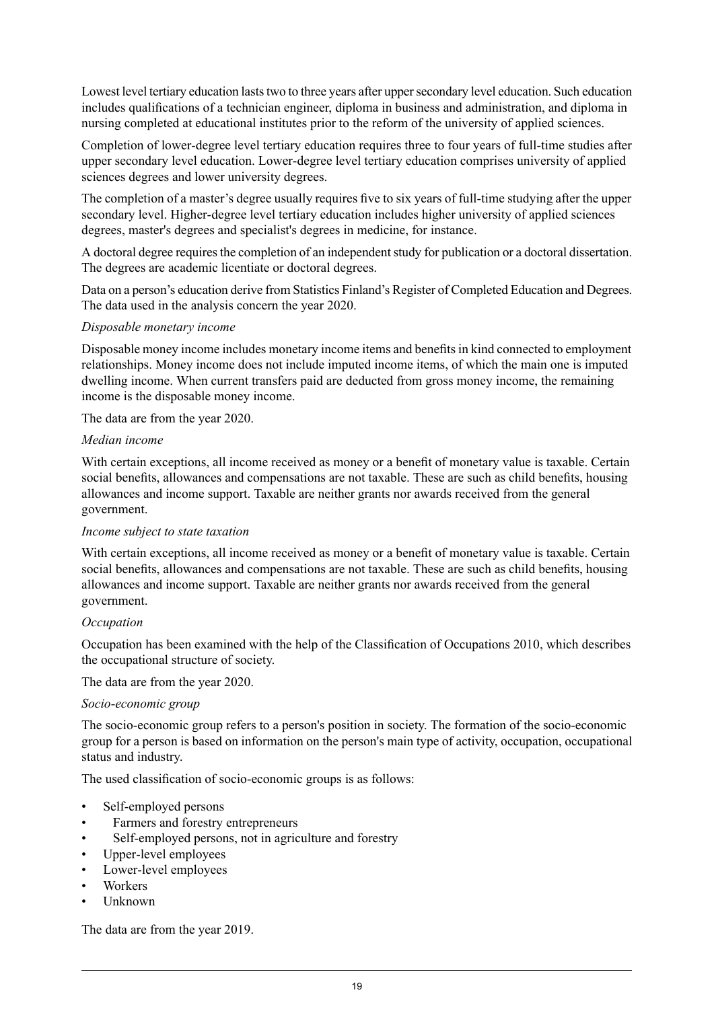Lowest level tertiary education lasts two to three years after upper secondary level education. Such education includes qualifications of a technician engineer, diploma in business and administration, and diploma in nursing completed at educational institutes prior to the reform of the university of applied sciences.

Completion of lower-degree level tertiary education requires three to four years of full-time studies after upper secondary level education. Lower-degree level tertiary education comprises university of applied sciences degrees and lower university degrees.

The completion of a master's degree usually requires five to six years of full-time studying after the upper secondary level. Higher-degree level tertiary education includes higher university of applied sciences degrees, master's degrees and specialist's degrees in medicine, for instance.

A doctoral degree requires the completion of an independent study for publication or a doctoral dissertation. The degrees are academic licentiate or doctoral degrees.

Data on a person's education derive from Statistics Finland's Register of Completed Education and Degrees. The data used in the analysis concern the year 2020.

#### *Disposable monetary income*

Disposable money income includes monetary income items and benefitsin kind connected to employment relationships. Money income does not include imputed income items, of which the main one is imputed dwelling income. When current transfers paid are deducted from gross money income, the remaining income is the disposable money income.

The data are from the year 2020.

#### *Median income*

With certain exceptions, all income received as money or a benefit of monetary value is taxable. Certain social benefits, allowances and compensations are not taxable. These are such as child benefits, housing allowances and income support. Taxable are neither grants nor awards received from the general government.

#### *Income subject to state taxation*

With certain exceptions, all income received as money or a benefit of monetary value is taxable. Certain social benefits, allowances and compensations are not taxable. These are such as child benefits, housing allowances and income support. Taxable are neither grants nor awards received from the general government.

#### *Occupation*

Occupation has been examined with the help of the Classification of Occupations 2010, which describes the occupational structure of society.

The data are from the year 2020.

#### *Socio-economic group*

The socio-economic group refers to a person's position in society. The formation of the socio-economic group for a person is based on information on the person's main type of activity, occupation, occupational status and industry.

The used classification of socio-economic groups is as follows:

- Self-employed persons
- Farmers and forestry entrepreneurs
- Self-employed persons, not in agriculture and forestry
- Upper-level employees
- Lower-level employees
- Workers
- Unknown

The data are from the year 2019.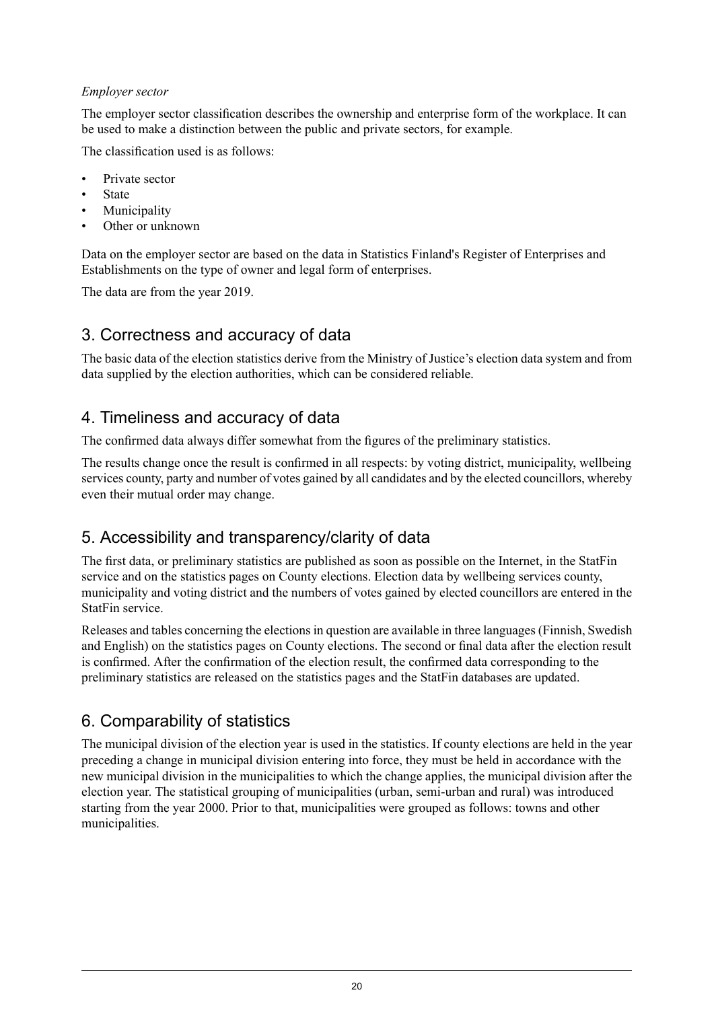#### *Employer sector*

The employer sector classification describes the ownership and enterprise form of the workplace. It can be used to make a distinction between the public and private sectors, for example.

The classification used is as follows:

- Private sector
- **State**
- **Municipality**
- Other or unknown

Data on the employer sector are based on the data in Statistics Finland's Register of Enterprises and Establishments on the type of owner and legal form of enterprises.

The data are from the year 2019.

## 3. Correctness and accuracy of data

The basic data of the election statistics derive from the Ministry of Justice's election data system and from data supplied by the election authorities, which can be considered reliable.

## 4. Timeliness and accuracy of data

The confirmed data always differ somewhat from the figures of the preliminary statistics.

The results change once the result is confirmed in all respects: by voting district, municipality, wellbeing services county, party and number of votes gained by all candidates and by the elected councillors, whereby even their mutual order may change.

## 5. Accessibility and transparency/clarity of data

The first data, or preliminary statistics are published as soon as possible on the Internet, in the StatFin service and on the statistics pages on County elections. Election data by wellbeing services county, municipality and voting district and the numbers of votes gained by elected councillors are entered in the StatFin service.

Releases and tables concerning the elections in question are available in three languages (Finnish, Swedish and English) on the statistics pages on County elections. The second or final data after the election result is confirmed. After the confirmation of the election result, the confirmed data corresponding to the preliminary statistics are released on the statistics pages and the StatFin databases are updated.

## 6. Comparability of statistics

The municipal division of the election year is used in the statistics. If county elections are held in the year preceding a change in municipal division entering into force, they must be held in accordance with the new municipal division in the municipalities to which the change applies, the municipal division after the election year. The statistical grouping of municipalities (urban, semi-urban and rural) was introduced starting from the year 2000. Prior to that, municipalities were grouped as follows: towns and other municipalities.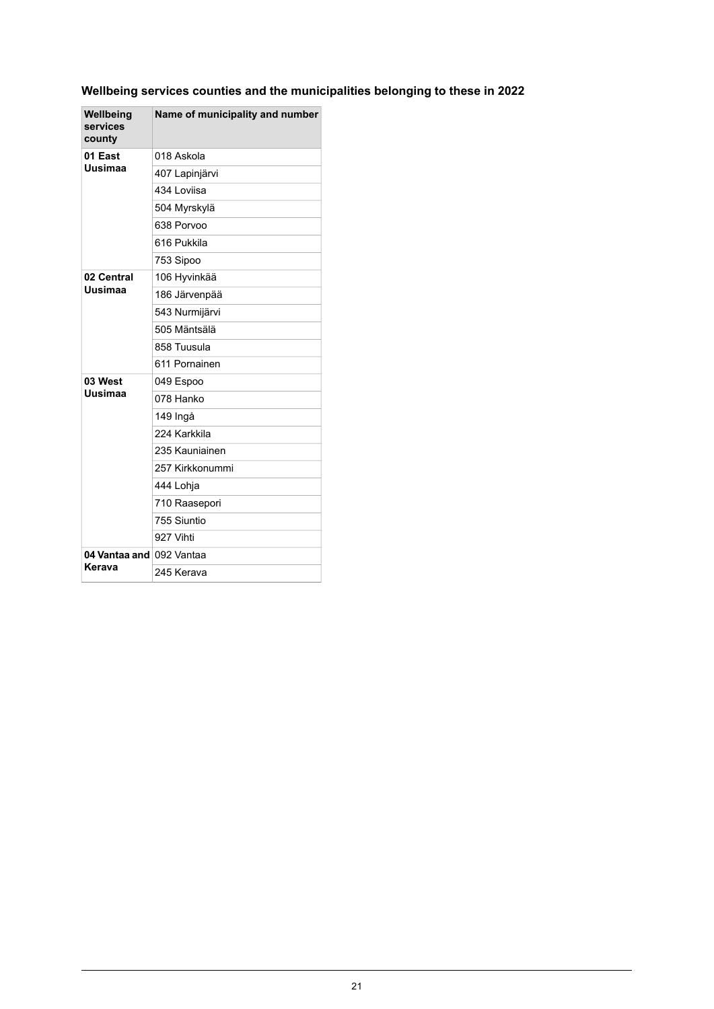### **Wellbeing services counties and the municipalities belonging to these in 2022**

| Wellbeing<br>services<br>county | Name of municipality and number |
|---------------------------------|---------------------------------|
| 01 East<br>Uusimaa              | 018 Askola                      |
|                                 | 407 Lapinjärvi                  |
|                                 | 434 Loviisa                     |
|                                 | 504 Myrskylä                    |
|                                 | 638 Porvoo                      |
|                                 | 616 Pukkila                     |
|                                 | 753 Sipoo                       |
| 02 Central                      | 106 Hyvinkää                    |
| Uusimaa                         | 186 Järvenpää                   |
|                                 | 543 Nurmijärvi                  |
|                                 | 505 Mäntsälä                    |
|                                 | 858 Tuusula                     |
|                                 | 611 Pornainen                   |
| 03 West                         | 049 Espoo                       |
| Uusimaa                         | 078 Hanko                       |
|                                 | 149 Ingå                        |
|                                 | 224 Karkkila                    |
|                                 | 235 Kauniainen                  |
|                                 | 257 Kirkkonummi                 |
|                                 | 444 Lohja                       |
|                                 | 710 Raasepori                   |
|                                 | 755 Siuntio                     |
|                                 | 927 Vihti                       |
| 04 Vantaa and 092 Vantaa        |                                 |
| Kerava                          | 245 Kerava                      |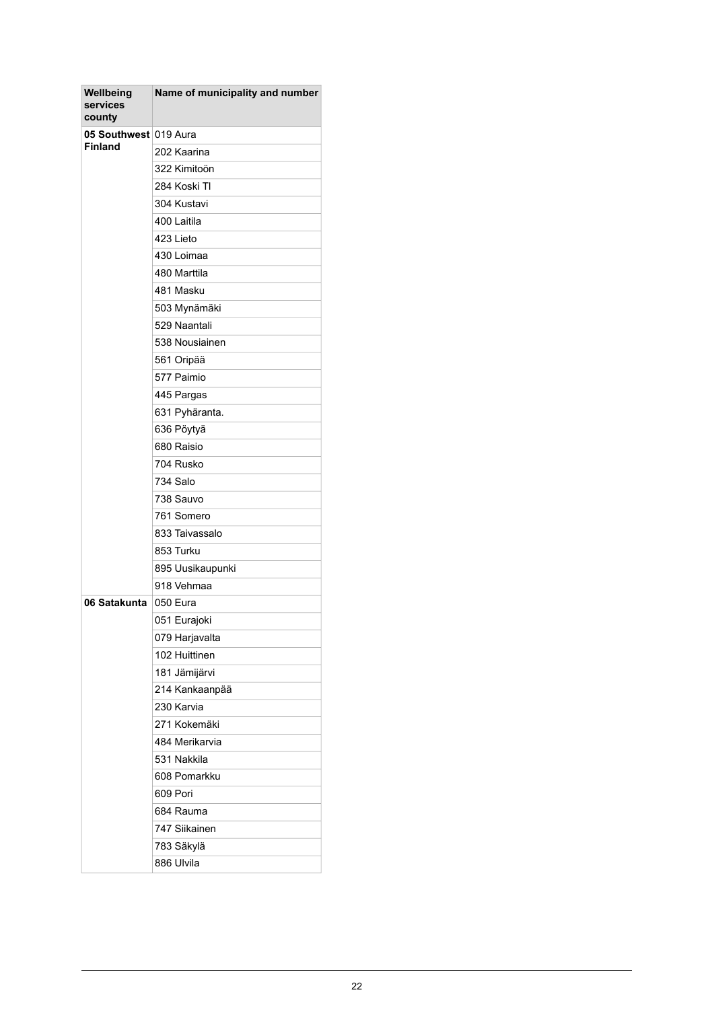| 05 Southwest 019 Aura<br><b>Finland</b><br>202 Kaarina<br>322 Kimitoön<br>284 Koski TI<br>304 Kustavi<br>400 Laitila<br>423 Lieto<br>430 Loimaa<br>480 Marttila<br>481 Masku<br>503 Mynämäki<br>529 Naantali<br>538 Nousiainen<br>561 Oripää<br>577 Paimio<br>445 Pargas<br>631 Pyhäranta.<br>636 Pöytyä<br>680 Raisio<br>704 Rusko<br>734 Salo<br>738 Sauvo<br>761 Somero<br>833 Taivassalo<br>853 Turku<br>895 Uusikaupunki<br>918 Vehmaa<br>06 Satakunta<br>050 Eura<br>051 Eurajoki<br>079 Harjavalta<br>102 Huittinen | Wellbeing<br>services<br>county | Name of municipality and number |
|----------------------------------------------------------------------------------------------------------------------------------------------------------------------------------------------------------------------------------------------------------------------------------------------------------------------------------------------------------------------------------------------------------------------------------------------------------------------------------------------------------------------------|---------------------------------|---------------------------------|
|                                                                                                                                                                                                                                                                                                                                                                                                                                                                                                                            |                                 |                                 |
|                                                                                                                                                                                                                                                                                                                                                                                                                                                                                                                            |                                 |                                 |
|                                                                                                                                                                                                                                                                                                                                                                                                                                                                                                                            |                                 |                                 |
|                                                                                                                                                                                                                                                                                                                                                                                                                                                                                                                            |                                 |                                 |
|                                                                                                                                                                                                                                                                                                                                                                                                                                                                                                                            |                                 |                                 |
|                                                                                                                                                                                                                                                                                                                                                                                                                                                                                                                            |                                 |                                 |
|                                                                                                                                                                                                                                                                                                                                                                                                                                                                                                                            |                                 |                                 |
|                                                                                                                                                                                                                                                                                                                                                                                                                                                                                                                            |                                 |                                 |
|                                                                                                                                                                                                                                                                                                                                                                                                                                                                                                                            |                                 |                                 |
|                                                                                                                                                                                                                                                                                                                                                                                                                                                                                                                            |                                 |                                 |
|                                                                                                                                                                                                                                                                                                                                                                                                                                                                                                                            |                                 |                                 |
|                                                                                                                                                                                                                                                                                                                                                                                                                                                                                                                            |                                 |                                 |
|                                                                                                                                                                                                                                                                                                                                                                                                                                                                                                                            |                                 |                                 |
|                                                                                                                                                                                                                                                                                                                                                                                                                                                                                                                            |                                 |                                 |
|                                                                                                                                                                                                                                                                                                                                                                                                                                                                                                                            |                                 |                                 |
|                                                                                                                                                                                                                                                                                                                                                                                                                                                                                                                            |                                 |                                 |
|                                                                                                                                                                                                                                                                                                                                                                                                                                                                                                                            |                                 |                                 |
|                                                                                                                                                                                                                                                                                                                                                                                                                                                                                                                            |                                 |                                 |
|                                                                                                                                                                                                                                                                                                                                                                                                                                                                                                                            |                                 |                                 |
|                                                                                                                                                                                                                                                                                                                                                                                                                                                                                                                            |                                 |                                 |
|                                                                                                                                                                                                                                                                                                                                                                                                                                                                                                                            |                                 |                                 |
|                                                                                                                                                                                                                                                                                                                                                                                                                                                                                                                            |                                 |                                 |
|                                                                                                                                                                                                                                                                                                                                                                                                                                                                                                                            |                                 |                                 |
|                                                                                                                                                                                                                                                                                                                                                                                                                                                                                                                            |                                 |                                 |
|                                                                                                                                                                                                                                                                                                                                                                                                                                                                                                                            |                                 |                                 |
|                                                                                                                                                                                                                                                                                                                                                                                                                                                                                                                            |                                 |                                 |
|                                                                                                                                                                                                                                                                                                                                                                                                                                                                                                                            |                                 |                                 |
|                                                                                                                                                                                                                                                                                                                                                                                                                                                                                                                            |                                 |                                 |
|                                                                                                                                                                                                                                                                                                                                                                                                                                                                                                                            |                                 |                                 |
|                                                                                                                                                                                                                                                                                                                                                                                                                                                                                                                            |                                 |                                 |
|                                                                                                                                                                                                                                                                                                                                                                                                                                                                                                                            |                                 |                                 |
|                                                                                                                                                                                                                                                                                                                                                                                                                                                                                                                            |                                 | 181 Jämijärvi                   |
| 214 Kankaanpää                                                                                                                                                                                                                                                                                                                                                                                                                                                                                                             |                                 |                                 |
| 230 Karvia                                                                                                                                                                                                                                                                                                                                                                                                                                                                                                                 |                                 |                                 |
| 271 Kokemäki                                                                                                                                                                                                                                                                                                                                                                                                                                                                                                               |                                 |                                 |
| 484 Merikarvia                                                                                                                                                                                                                                                                                                                                                                                                                                                                                                             |                                 |                                 |
| 531 Nakkila                                                                                                                                                                                                                                                                                                                                                                                                                                                                                                                |                                 |                                 |
| 608 Pomarkku                                                                                                                                                                                                                                                                                                                                                                                                                                                                                                               |                                 |                                 |
| 609 Pori                                                                                                                                                                                                                                                                                                                                                                                                                                                                                                                   |                                 |                                 |
| 684 Rauma                                                                                                                                                                                                                                                                                                                                                                                                                                                                                                                  |                                 |                                 |
| 747 Siikainen                                                                                                                                                                                                                                                                                                                                                                                                                                                                                                              |                                 |                                 |
| 783 Säkylä                                                                                                                                                                                                                                                                                                                                                                                                                                                                                                                 |                                 |                                 |
| 886 Ulvila                                                                                                                                                                                                                                                                                                                                                                                                                                                                                                                 |                                 |                                 |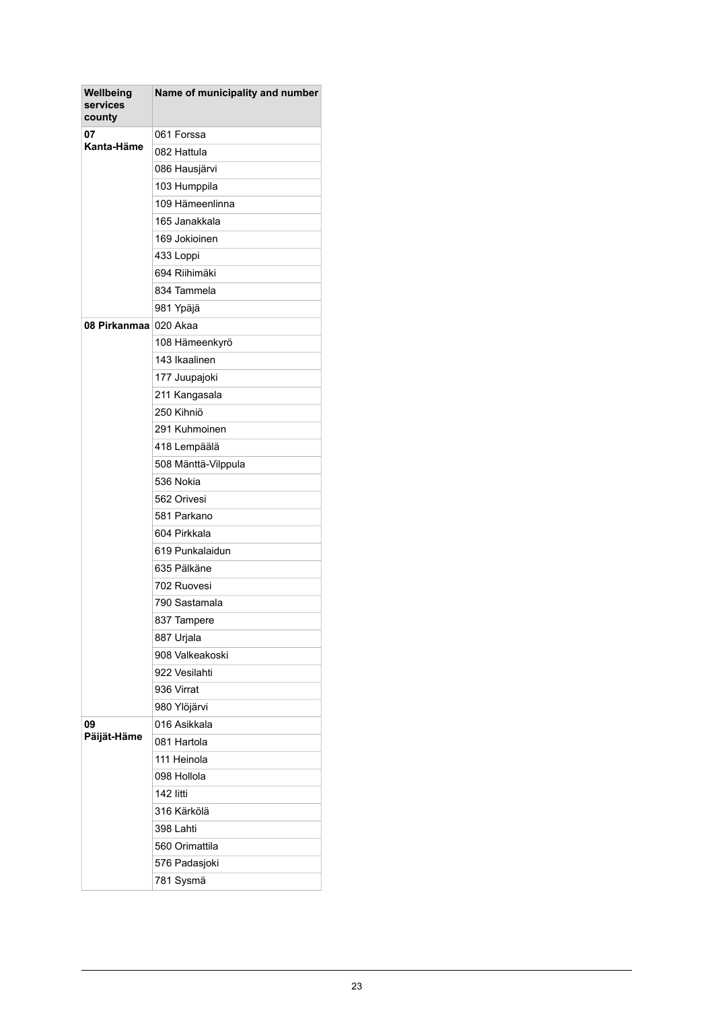| Wellbeing<br>services<br>county | Name of municipality and number |
|---------------------------------|---------------------------------|
| 07<br>Kanta-Häme                | 061 Forssa                      |
|                                 | 082 Hattula                     |
|                                 | 086 Hausjärvi                   |
|                                 | 103 Humppila                    |
|                                 | 109 Hämeenlinna                 |
|                                 | 165 Janakkala                   |
|                                 | 169 Jokioinen                   |
|                                 | 433 Loppi                       |
|                                 | 694 Riihimäki                   |
|                                 | 834 Tammela                     |
|                                 | 981 Ypäjä                       |
| 08 Pirkanmaa                    | 020 Akaa                        |
|                                 | 108 Hämeenkyrö                  |
|                                 | 143 Ikaalinen                   |
|                                 | 177 Juupajoki                   |
|                                 | 211 Kangasala                   |
|                                 | 250 Kihniö                      |
|                                 | 291 Kuhmoinen                   |
|                                 | 418 Lempäälä                    |
|                                 | 508 Mänttä-Vilppula             |
|                                 | 536 Nokia                       |
|                                 | 562 Orivesi                     |
|                                 | 581 Parkano                     |
|                                 | 604 Pirkkala                    |
|                                 | 619 Punkalaidun                 |
|                                 | 635 Pälkäne                     |
|                                 | 702 Ruovesi                     |
|                                 | 790 Sastamala                   |
|                                 | 837 Tampere                     |
|                                 | 887 Urjala                      |
|                                 | 908 Valkeakoski                 |
|                                 | 922 Vesilahti                   |
|                                 | 936 Virrat                      |
|                                 | 980 Ylöjärvi                    |
| 09                              | 016 Asikkala                    |
| Päijät-Häme                     | 081 Hartola                     |
|                                 | 111 Heinola                     |
|                                 | 098 Hollola                     |
|                                 | 142 litti                       |
|                                 | 316 Kärkölä                     |
|                                 | 398 Lahti                       |
|                                 | 560 Orimattila                  |
|                                 | 576 Padasjoki                   |
|                                 | 781 Sysmä                       |
|                                 |                                 |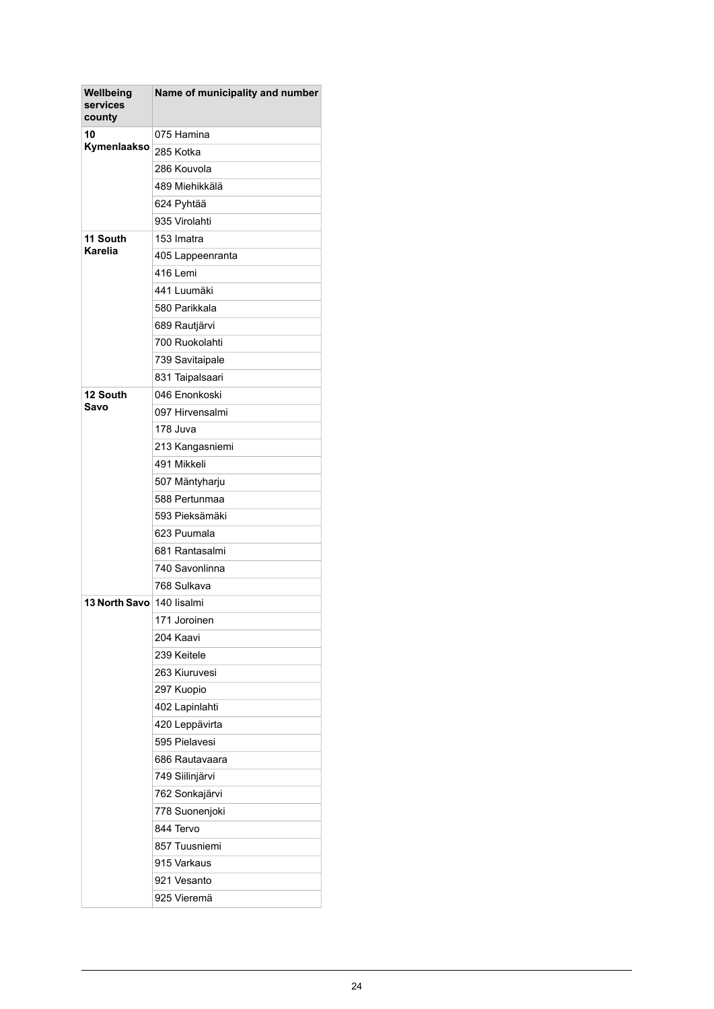| Wellbeing<br>services<br>county | Name of municipality and number |
|---------------------------------|---------------------------------|
| 10<br>Kymenlaakso               | 075 Hamina                      |
|                                 | 285 Kotka                       |
|                                 | 286 Kouvola                     |
|                                 | 489 Miehikkälä                  |
|                                 | 624 Pyhtää                      |
|                                 | 935 Virolahti                   |
| 11 South                        | 153 Imatra                      |
| <b>Karelia</b>                  | 405 Lappeenranta                |
|                                 | 416 Lemi                        |
|                                 | 441 Luumäki                     |
|                                 | 580 Parikkala                   |
|                                 | 689 Rautjärvi                   |
|                                 | 700 Ruokolahti                  |
|                                 | 739 Savitaipale                 |
|                                 | 831 Taipalsaari                 |
| 12 South                        | 046 Enonkoski                   |
| Savo                            | 097 Hirvensalmi                 |
|                                 | 178 Juva                        |
|                                 | 213 Kangasniemi                 |
|                                 | 491 Mikkeli                     |
|                                 | 507 Mäntyharju                  |
|                                 | 588 Pertunmaa                   |
|                                 | 593 Pieksämäki                  |
|                                 | 623 Puumala                     |
|                                 | 681 Rantasalmi                  |
|                                 | 740 Savonlinna                  |
|                                 | 768 Sulkava                     |
| <b>13 North Savo</b>            | 140 lisalmi                     |
|                                 | 171 Joroinen                    |
|                                 | 204 Kaavi                       |
|                                 | 239 Keitele                     |
|                                 | 263 Kiuruvesi                   |
|                                 | 297 Kuopio                      |
|                                 | 402 Lapinlahti                  |
|                                 | 420 Leppävirta                  |
|                                 | 595 Pielavesi                   |
|                                 | 686 Rautavaara                  |
|                                 | 749 Siilinjärvi                 |
|                                 | 762 Sonkajärvi                  |
|                                 | 778 Suonenjoki                  |
|                                 | 844 Tervo                       |
|                                 | 857 Tuusniemi                   |
|                                 | 915 Varkaus                     |
|                                 | 921 Vesanto                     |
|                                 | 925 Vieremä                     |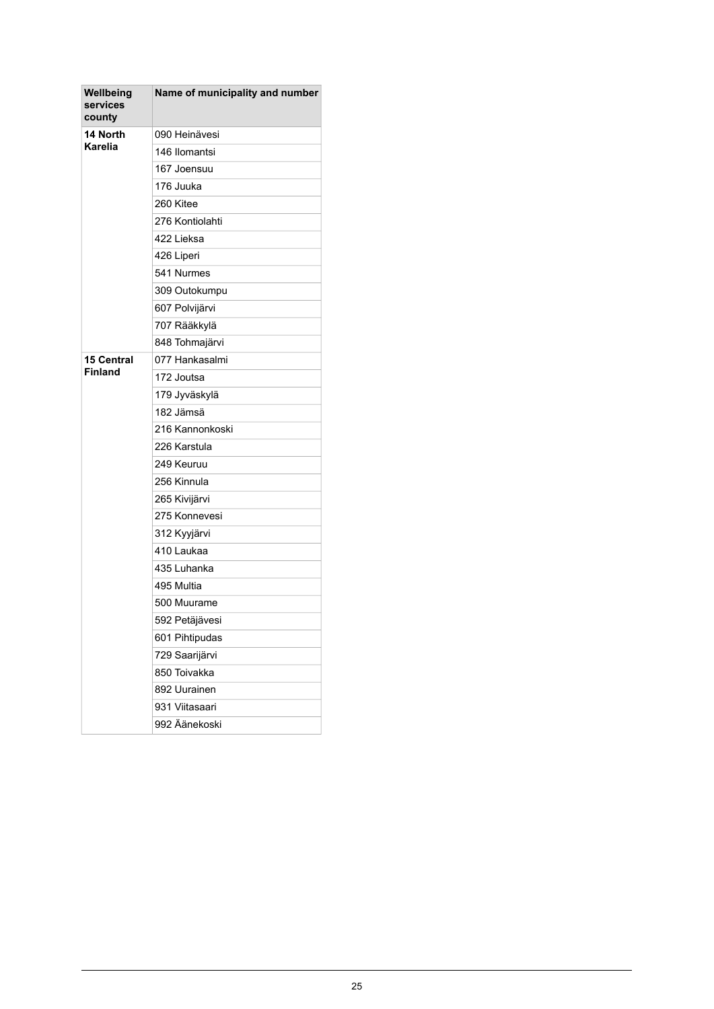| Wellbeing<br>services<br>county | Name of municipality and number |
|---------------------------------|---------------------------------|
| 14 North                        | 090 Heinävesi                   |
| <b>Karelia</b>                  | 146 Ilomantsi                   |
|                                 | 167 Joensuu                     |
|                                 | 176 Juuka                       |
|                                 | 260 Kitee                       |
|                                 | 276 Kontiolahti                 |
|                                 | 422 Lieksa                      |
|                                 | 426 Liperi                      |
|                                 | 541 Nurmes                      |
|                                 | 309 Outokumpu                   |
|                                 | 607 Polvijärvi                  |
|                                 | 707 Rääkkylä                    |
|                                 | 848 Tohmajärvi                  |
| <b>15 Central</b>               | 077 Hankasalmi                  |
| <b>Finland</b>                  | 172 Joutsa                      |
|                                 | 179 Jyväskylä                   |
|                                 | 182 Jämsä                       |
|                                 | 216 Kannonkoski                 |
|                                 | 226 Karstula                    |
|                                 | 249 Keuruu                      |
|                                 | 256 Kinnula                     |
|                                 | 265 Kivijärvi                   |
|                                 | 275 Konnevesi                   |
|                                 | 312 Kyyjärvi                    |
|                                 | 410 Laukaa                      |
|                                 | 435 Luhanka                     |
|                                 | 495 Multia                      |
|                                 | 500 Muurame                     |
|                                 | 592 Petäjävesi                  |
|                                 | 601 Pihtipudas                  |
|                                 | 729 Saarijärvi                  |
|                                 | 850 Toivakka                    |
|                                 | 892 Uurainen                    |
|                                 | 931 Viitasaari                  |
|                                 | 992 Äänekoski                   |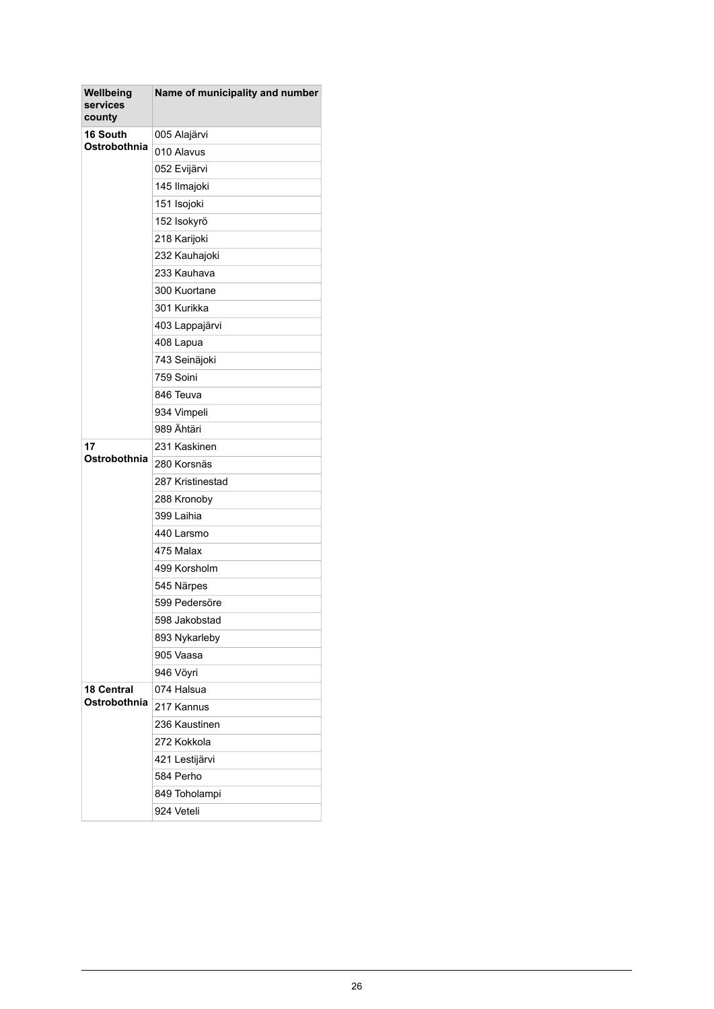| Wellbeing<br>services<br>county | Name of municipality and number |
|---------------------------------|---------------------------------|
| 16 South                        | 005 Alajärvi                    |
| Ostrobothnia                    | 010 Alavus                      |
|                                 | 052 Evijärvi                    |
|                                 | 145 Ilmajoki                    |
|                                 | 151 Isojoki                     |
|                                 | 152 Isokyrö                     |
|                                 | 218 Karijoki                    |
|                                 | 232 Kauhajoki                   |
|                                 | 233 Kauhava                     |
|                                 | 300 Kuortane                    |
|                                 | 301 Kurikka                     |
|                                 | 403 Lappajärvi                  |
|                                 | 408 Lapua                       |
|                                 | 743 Seinäjoki                   |
|                                 | 759 Soini                       |
|                                 | 846 Teuva                       |
|                                 | 934 Vimpeli                     |
|                                 | 989 Ähtäri                      |
| 17                              | 231 Kaskinen                    |
| Ostrobothnia                    | 280 Korsnäs                     |
|                                 | 287 Kristinestad                |
|                                 | 288 Kronoby                     |
|                                 | 399 Laihia                      |
|                                 | 440 Larsmo                      |
|                                 | 475 Malax                       |
|                                 | 499 Korsholm                    |
|                                 | 545 Närpes                      |
|                                 | 599 Pedersöre                   |
|                                 | 598 Jakobstad                   |
|                                 | 893 Nykarleby                   |
|                                 | 905 Vaasa                       |
|                                 | 946 Vöyri                       |
| <b>18 Central</b>               | 074 Halsua                      |
| Ostrobothnia                    | 217 Kannus                      |
|                                 | 236 Kaustinen                   |
|                                 | 272 Kokkola                     |
|                                 | 421 Lestijärvi                  |
|                                 | 584 Perho                       |
|                                 | 849 Toholampi                   |
|                                 | 924 Veteli                      |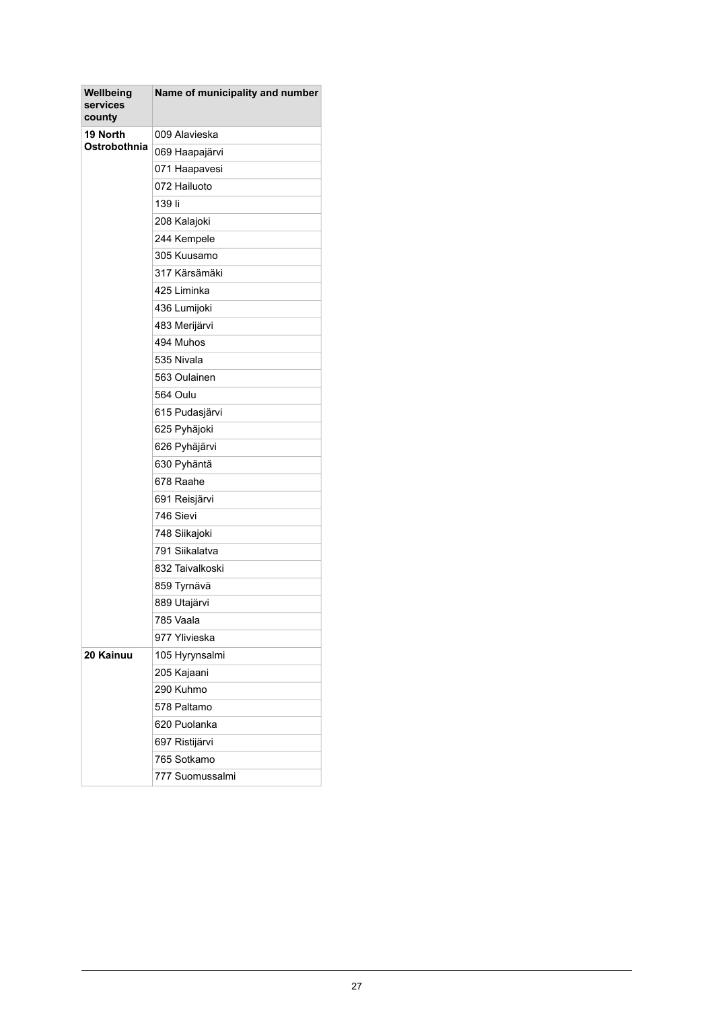| Wellbeing<br>services<br>county | Name of municipality and number |
|---------------------------------|---------------------------------|
| 19 North                        | 009 Alavieska                   |
| Ostrobothnia                    | 069 Haapajärvi                  |
|                                 | 071 Haapavesi                   |
|                                 | 072 Hailuoto                    |
|                                 | 139 li                          |
|                                 | 208 Kalajoki                    |
|                                 | 244 Kempele                     |
|                                 | 305 Kuusamo                     |
|                                 | 317 Kärsämäki                   |
|                                 | 425 Liminka                     |
|                                 | 436 Lumijoki                    |
|                                 | 483 Merijärvi                   |
|                                 | 494 Muhos                       |
|                                 | 535 Nivala                      |
|                                 | 563 Oulainen                    |
|                                 | 564 Oulu                        |
|                                 | 615 Pudasjärvi                  |
|                                 | 625 Pyhäjoki                    |
|                                 | 626 Pyhäjärvi                   |
|                                 | 630 Pyhäntä                     |
|                                 | 678 Raahe                       |
|                                 | 691 Reisjärvi                   |
|                                 | 746 Sievi                       |
|                                 | 748 Siikajoki                   |
|                                 | 791 Siikalatva                  |
|                                 | 832 Taivalkoski                 |
|                                 | 859 Tyrnävä                     |
|                                 | 889 Utajärvi                    |
|                                 | 785 Vaala                       |
|                                 | 977 Ylivieska                   |
| 20 Kainuu                       | 105 Hyrynsalmi                  |
|                                 | 205 Kajaani                     |
|                                 | 290 Kuhmo                       |
|                                 | 578 Paltamo                     |
|                                 | 620 Puolanka                    |
|                                 | 697 Ristijärvi                  |
|                                 | 765 Sotkamo                     |
|                                 | 777 Suomussalmi                 |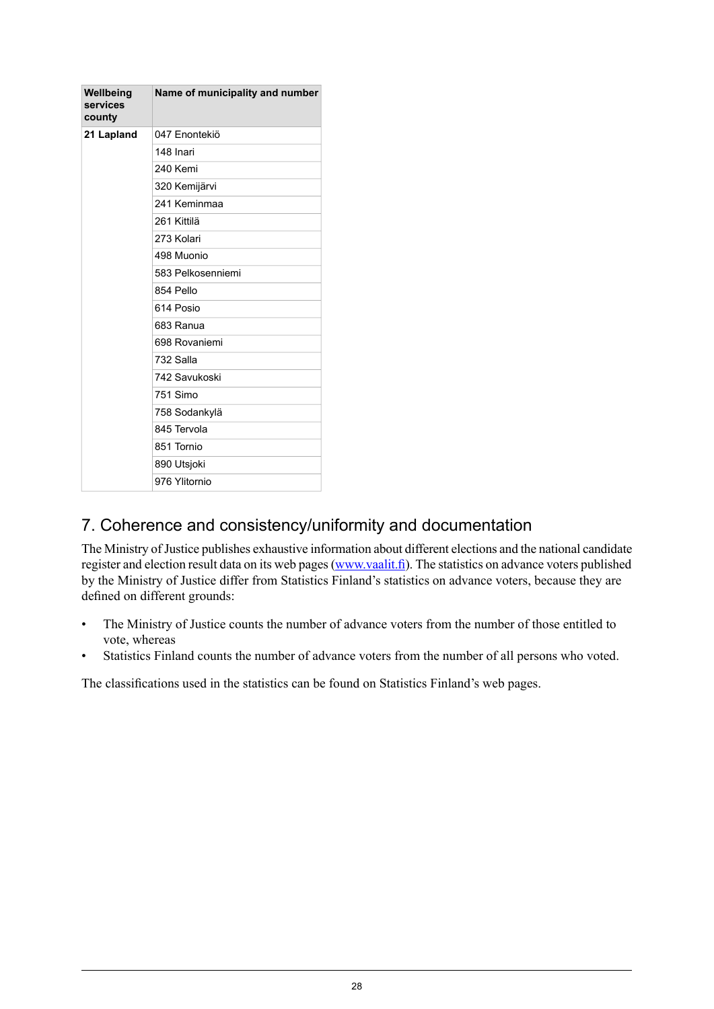| Wellbeing<br>services<br>county | Name of municipality and number |
|---------------------------------|---------------------------------|
| 21 Lapland                      | 047 Enontekiö                   |
|                                 | 148 Inari                       |
|                                 | 240 Kemi                        |
|                                 | 320 Kemijärvi                   |
|                                 | 241 Keminmaa                    |
|                                 | 261 Kittilä                     |
|                                 | 273 Kolari                      |
|                                 | 498 Muonio                      |
|                                 | 583 Pelkosenniemi               |
|                                 | 854 Pello                       |
|                                 | 614 Posio                       |
|                                 | 683 Ranua                       |
|                                 | 698 Rovaniemi                   |
|                                 | 732 Salla                       |
|                                 | 742 Savukoski                   |
|                                 | 751 Simo                        |
|                                 | 758 Sodankylä                   |
|                                 | 845 Tervola                     |
|                                 | 851 Tornio                      |
|                                 | 890 Utsjoki                     |
|                                 | 976 Ylitornio                   |

## 7. Coherence and consistency/uniformity and documentation

The Ministry of Justice publishes exhaustive information about different elections and the national candidate register and election result data on its web pages([www.vaalit.fi](http://www.vaalit.fi)). The statistics on advance voters published by the Ministry of Justice differ from Statistics Finland's statistics on advance voters, because they are defined on different grounds:

- The Ministry of Justice counts the number of advance voters from the number of those entitled to vote, whereas
- Statistics Finland counts the number of advance voters from the number of all persons who voted.

The classifications used in the statistics can be found on Statistics Finland's web pages.